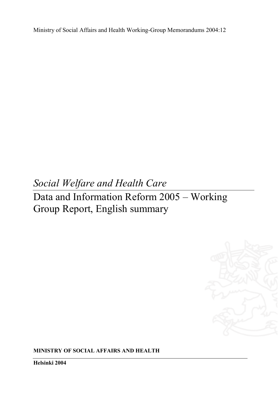Ministry of Social Affairs and Health Working-Group Memorandums 2004:12

# *Social Welfare and Health Care*

Data and Information Reform 2005 – Working Group Report, English summary



**MINISTRY OF SOCIAL AFFAIRS AND HEALTH** 

**Helsinki 2004**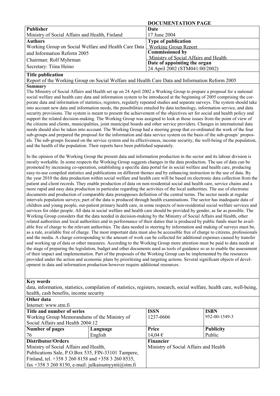|                                                      | DOCUMENTATION FAGE                    |
|------------------------------------------------------|---------------------------------------|
| <b>Publisher</b>                                     | Date                                  |
| Ministry of Social Affairs and Health, Finland       | 17 June 2004                          |
| <b>Authors</b>                                       | <b>Type of publication</b>            |
| Working Group on Social Welfare and Health Care Data | <b>Working Group Report</b>           |
| and Information Reform 2005                          | <b>Commissioned by</b>                |
| Chairman: Rolf Myhrman                               | Ministry of Social Affairs and Health |
|                                                      | Date of appointing the organ          |
| Secretary: Tiina Heino                               | 24 April 2002 (STM041:00/2002)        |

 **DOCUMENTATION PAGE** 

#### **Title publication**

Report of the Working Group on Social Welfare and Health Care Data and Information Reform 2005 **Summary** 

The Ministry of Social Affairs and Health set up on 24 April 2002 a Working Group to prepare a proposal for a national social welfare and health care data and information system to be introduced at the beginning of 2005 comprising the corporate data and information of statistics, registers, regularly repeated studies and separate surveys. The system should take into account new data and information needs, the possibilities entailed by data technology, information service, and data security provisions. The system is meant to present the achievement of the objectives set for social and health policy and support the related decision-making. The Working Group was assigned to look at those issues from the point of view of the citizens and clients, municipalities, joint municipal boards and other service providers. Changes in international data needs should also be taken into account. The Working Group had a steering group that co-ordinated the work of the four sub-groups and prepared the proposal for the information and data service system on the basis of the sub-groups' proposals. The sub-groups focused on the service system and its effectiveness, income security, the well-being of the population, and the health of the population. Their reports have been published separately.

In the opinion of the Working Group the present data and information production in the sector and its labour division is mostly workable. In some respects the Working Group suggests changes in the data production. The use of data can be promoted by increasing co-operation, establishing a specific data portal for in social welfare and health care, producing easy-to-use compiled statistics and publications on different themes and by enhancing instruction in the use of data. By the year 2010 the data production within social welfare and health care will be based on electronic data collection from the patient and client records. They enable production of data on non-residential social and health care, service chains and a more rapid and easy data production in particular regarding the activities of the local authorities. The use of electronic documents and production of comparable data presupposes definition of the central terms. The sector needs at regular intervals population surveys; part of the data is produced through health examinations. The sector has inadequate data of children and young people, out-patient primary health care, in some respects of non-residential social welfare services and services for older people. All data in social welfare and health care should be provided by gender, as far as possible. The Working Group considers that the data needed in decision-making by the Ministry of Social Affairs and Health, other related authorities and local authorities and in performance of their duties that is produced by public funds must be available free of charge to the relevant authorities. The data needed in steering by information and making of surveys must be, as a rule, available free of charge. The most important data must also be accessible free of charge to citizens, professionals and the media. A charge corresponding to the amount of work can be collected for additional expenses caused by transfer and working up of data or other measures. According to the Working Group more attention must be paid to data needs at the stage of preparing the legislation, budget and other documents used as tools of guidance so as to enable the assessment of their impact and implementation. Part of the proposals of the Working Group can be implemented by the resources provided under the action and economic plans by prioritising and targeting actions. Several significant objects of development in data and information production however require additional resources.

#### **Key words**

**Other data** 

data, information, statistics, compilation of statistics, registers, research, social welfare, health care, well-being, health, cash benefits, income security

| Internet: www.stm.fi                                   |          |                                       |                  |  |  |  |  |  |
|--------------------------------------------------------|----------|---------------------------------------|------------------|--|--|--|--|--|
| Title and number of series                             |          | <b>ISSN</b>                           | <b>ISBN</b>      |  |  |  |  |  |
| Working Group Memorandums of the Ministry of           |          | 1237-0606                             | 952-00-1549-3    |  |  |  |  |  |
| Social Affairs and Health 2004:12                      |          |                                       |                  |  |  |  |  |  |
| <b>Number of pages</b>                                 | Language | Price                                 | <b>Publicity</b> |  |  |  |  |  |
| 76                                                     | English  | $14,04 \in$                           | Public           |  |  |  |  |  |
| Distributor/Orders                                     |          | <b>Financier</b>                      |                  |  |  |  |  |  |
| Ministry of Social Affairs and Health,                 |          | Ministry of Social Affairs and Health |                  |  |  |  |  |  |
| Publications Sale, P.O.Box 535, FIN-33101 Tampere,     |          |                                       |                  |  |  |  |  |  |
| Finland, tel. +358 3 260 8158 and +358 3 260 8535,     |          |                                       |                  |  |  |  |  |  |
| fax +358 3 260 8150, e-mail: julkaisumyynti $@s$ tm.fi |          |                                       |                  |  |  |  |  |  |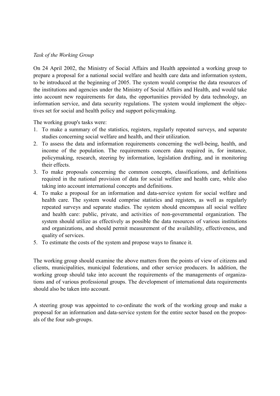## *Task of the Working Group*

On 24 April 2002, the Ministry of Social Affairs and Health appointed a working group to prepare a proposal for a national social welfare and health care data and information system, to be introduced at the beginning of 2005. The system would comprise the data resources of the institutions and agencies under the Ministry of Social Affairs and Health, and would take into account new requirements for data, the opportunities provided by data technology, an information service, and data security regulations. The system would implement the objectives set for social and health policy and support policymaking.

The working group's tasks were:

- 1. To make a summary of the statistics, registers, regularly repeated surveys, and separate studies concerning social welfare and health, and their utilization.
- 2. To assess the data and information requirements concerning the well-being, health, and income of the population. The requirements concern data required in, for instance, policymaking, research, steering by information, legislation drafting, and in monitoring their effects.
- 3. To make proposals concerning the common concepts, classifications, and definitions required in the national provision of data for social welfare and health care, while also taking into account international concepts and definitions.
- 4. To make a proposal for an information and data-service system for social welfare and health care. The system would comprise statistics and registers, as well as regularly repeated surveys and separate studies. The system should encompass all social welfare and health care: public, private, and activities of non-governmental organization. The system should utilize as effectively as possible the data resources of various institutions and organizations, and should permit measurement of the availability, effectiveness, and quality of services.
- 5. To estimate the costs of the system and propose ways to finance it.

The working group should examine the above matters from the points of view of citizens and clients, municipalities, municipal federations, and other service producers. In addition, the working group should take into account the requirements of the managements of organizations and of various professional groups. The development of international data requirements should also be taken into account.

A steering group was appointed to co-ordinate the work of the working group and make a proposal for an information and data-service system for the entire sector based on the proposals of the four sub-groups.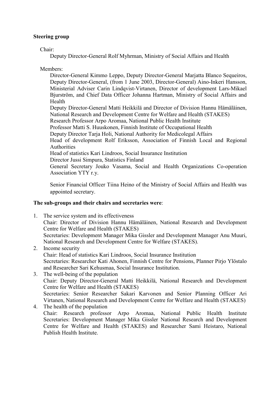## **Steering group**

Chair:

Deputy Director-General Rolf Myhrman, Ministry of Social Affairs and Health

Members:

Director-General Kimmo Leppo, Deputy Director-General Marjatta Blanco Sequeiros, Deputy Director-General, (from 1 June 2003, Director-General) Aino-Inkeri Hansson, Ministerial Adviser Carin Lindqvist-Virtanen, Director of development Lars-Mikael Bjurström, and Chief Data Officer Johanna Hartman, Ministry of Social Affairs and Health

Deputy Director-General Matti Heikkilä and Director of Division Hannu Hämäläinen, National Research and Development Centre for Welfare and Health (STAKES)

Research Professor Arpo Aromaa, National Public Health Institute

Professor Matti S. Huuskonen, Finnish Institute of Occupational Health

Deputy Director Tarja Holi, National Authority for Medicolegal Affairs

Head of development Rolf Eriksson, Association of Finnish Local and Regional Authorities

Head of statistics Kari Lindroos, Social Insurance Institution

Director Jussi Simpura, Statistics Finland

General Secretary Jouko Vasama, Social and Health Organizations Co-operation Association YTY r.y.

Senior Financial Officer Tiina Heino of the Ministry of Social Affairs and Health was appointed secretary.

## **The sub-groups and their chairs and secretaries were**:

- 1. The service system and its effectiveness Chair: Director of Division Hannu Hämäläinen, National Research and Development Centre for Welfare and Health (STAKES) Secretaries: Development Manager Mika Gissler and Development Manager Anu Muuri, National Research and Development Centre for Welfare (STAKES).
- 2. Income security Chair: Head of statistics Kari Lindroos, Social Insurance Institution Secretaries: Researcher Kati Ahonen, Finnish Centre for Pensions, Planner Pirjo Ylöstalo and Researcher Sari Kehusmaa, Social Insurance Institution.
- 3. The well-being of the population Chair: Deputy Director-General Matti Heikkilä, National Research and Development Centre for Welfare and Health (STAKES) Secretaries: Senior Researcher Sakari Karvonen and Senior Planning Officer Ari Virtanen, National Research and Development Centre for Welfare and Health (STAKES)

4. The health of the population Chair: Research professor Arpo Aromaa, National Public Health Institute Secretaries: Development Manager Mika Gissler National Research and Development Centre for Welfare and Health (STAKES) and Researcher Sami Heistaro, National Publish Health Institute.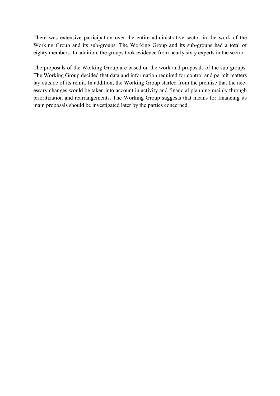There was extensive participation over the entire administrative sector in the work of the Working Group and its sub-groups. The Working Group and its sub-groups had a total of eighty members. In addition, the groups took evidence from nearly sixty experts in the sector.

The proposals of the Working Group are based on the work and proposals of the sub-groups. The Working Group decided that data and information required for control and permit matters lay outside of its remit. In addition, the Working Group started from the premise that the necessary changes would be taken into account in activity and financial planning mainly through prioritization and rearrangements. The Working Group suggests that means for financing its main proposals should be investigated later by the parties concerned.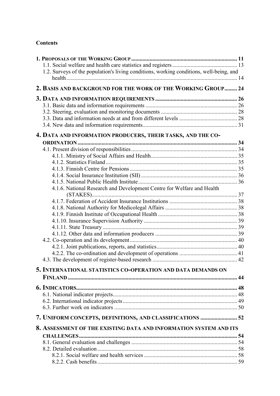## **Contents**

| 1.2. Surveys of the population's living conditions, working conditions, well-being, and |  |
|-----------------------------------------------------------------------------------------|--|
| 2. BASIS AND BACKGROUND FOR THE WORK OF THE WORKING GROUP 24                            |  |
|                                                                                         |  |
|                                                                                         |  |
|                                                                                         |  |
|                                                                                         |  |
|                                                                                         |  |
| 4. DATA AND INFORMATION PRODUCERS, THEIR TASKS, AND THE CO-                             |  |
|                                                                                         |  |
|                                                                                         |  |
|                                                                                         |  |
|                                                                                         |  |
|                                                                                         |  |
|                                                                                         |  |
| 4.1.6. National Research and Development Centre for Welfare and Health                  |  |
|                                                                                         |  |
|                                                                                         |  |
|                                                                                         |  |
|                                                                                         |  |
|                                                                                         |  |
|                                                                                         |  |
|                                                                                         |  |
|                                                                                         |  |
|                                                                                         |  |
|                                                                                         |  |
|                                                                                         |  |
| 5. INTERNATIONAL STATISTICS CO-OPERATION AND DATA DEMANDS ON                            |  |
|                                                                                         |  |
|                                                                                         |  |
|                                                                                         |  |
|                                                                                         |  |
|                                                                                         |  |
| 7. UNIFORM CONCEPTS, DEFINITIONS, AND CLASSIFICATIONS  52                               |  |
| 8. ASSESSMENT OF THE EXISTING DATA AND INFORMATION SYSTEM AND ITS                       |  |
|                                                                                         |  |
|                                                                                         |  |
|                                                                                         |  |
|                                                                                         |  |
|                                                                                         |  |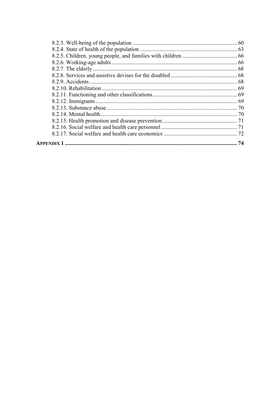| 74 |
|----|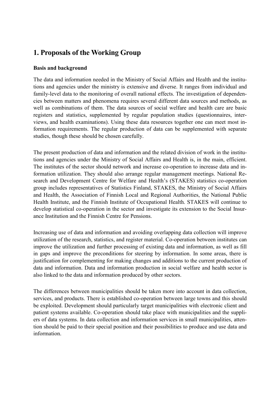## **1. Proposals of the Working Group**

## **Basis and background**

The data and information needed in the Ministry of Social Affairs and Health and the institutions and agencies under the ministry is extensive and diverse. It ranges from individual and family-level data to the monitoring of overall national effects. The investigation of dependencies between matters and phenomena requires several different data sources and methods, as well as combinations of them. The data sources of social welfare and health care are basic registers and statistics, supplemented by regular population studies (questionnaires, interviews, and health examinations). Using these data resources together one can meet most information requirements. The regular production of data can be supplemented with separate studies, though these should be chosen carefully.

The present production of data and information and the related division of work in the institutions and agencies under the Ministry of Social Affairs and Health is, in the main, efficient. The institutes of the sector should network and increase co-operation to increase data and information utilization. They should also arrange regular management meetings. National Research and Development Centre for Welfare and Health's (STAKES) statistics co-operation group includes representatives of Statistics Finland, STAKES, the Ministry of Social Affairs and Health, the Association of Finnish Local and Regional Authorities, the National Public Health Institute, and the Finnish Institute of Occupational Health. STAKES will continue to develop statistical co-operation in the sector and investigate its extension to the Social Insurance Institution and the Finnish Centre for Pensions.

Increasing use of data and information and avoiding overlapping data collection will improve utilization of the research, statistics, and register material. Co-operation between institutes can improve the utilization and further processing of existing data and information, as well as fill in gaps and improve the preconditions for steering by information. In some areas, there is justification for complementing for making changes and additions to the current production of data and information. Data and information production in social welfare and health sector is also linked to the data and information produced by other sectors.

The differences between municipalities should be taken more into account in data collection, services, and products. There is established co-operation between large towns and this should be exploited. Development should particularly target municipalities with electronic client and patient systems available. Co-operation should take place with municipalities and the suppliers of data systems. In data collection and information services in small municipalities, attention should be paid to their special position and their possibilities to produce and use data and information.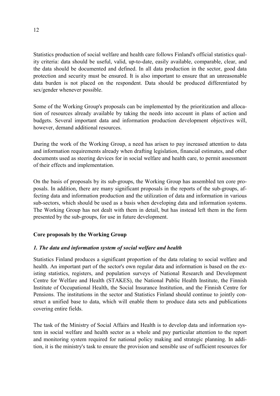Statistics production of social welfare and health care follows Finland's official statistics quality criteria: data should be useful, valid, up-to-date, easily available, comparable, clear, and the data should be documented and defined. In all data production in the sector, good data protection and security must be ensured. It is also important to ensure that an unreasonable data burden is not placed on the respondent. Data should be produced differentiated by sex/gender whenever possible.

Some of the Working Group's proposals can be implemented by the prioritization and allocation of resources already available by taking the needs into account in plans of action and budgets. Several important data and information production development objectives will, however, demand additional resources.

During the work of the Working Group, a need has arisen to pay increased attention to data and information requirements already when drafting legislation, financial estimates, and other documents used as steering devices for in social welfare and health care, to permit assessment of their effects and implementation.

On the basis of proposals by its sub-groups, the Working Group has assembled ten core proposals. In addition, there are many significant proposals in the reports of the sub-groups, affecting data and information production and the utilization of data and information in various sub-sectors, which should be used as a basis when developing data and information systems. The Working Group has not dealt with them in detail, but has instead left them in the form presented by the sub-groups, for use in future development.

## **Core proposals by the Working Group**

## *1. The data and information system of social welfare and health*

Statistics Finland produces a significant proportion of the data relating to social welfare and health. An important part of the sector's own regular data and information is based on the existing statistics, registers, and population surveys of National Research and Development Centre for Welfare and Health (STAKES), the National Public Health Institute, the Finnish Institute of Occupational Health, the Social Insurance Institution, and the Finnish Centre for Pensions. The institutions in the sector and Statistics Finland should continue to jointly construct a unified base to data, which will enable them to produce data sets and publications covering entire fields.

The task of the Ministry of Social Affairs and Health is to develop data and information system in social welfare and health sector as a whole and pay particular attention to the report and monitoring system required for national policy making and strategic planning. In addition, it is the ministry's task to ensure the provision and sensible use of sufficient resources for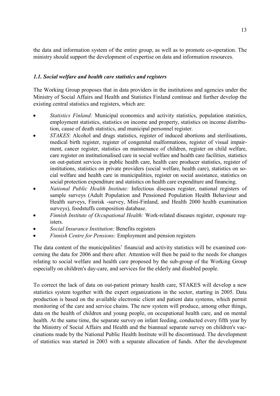the data and information system of the entire group, as well as to promote co-operation. The ministry should support the development of expertise on data and information resources.

## *1.1. Social welfare and health care statistics and registers*

The Working Group proposes that in data providers in the institutions and agencies under the Ministry of Social Affairs and Health and Statistics Finland continue and further develop the existing central statistics and registers, which are:

- $\bullet$  *Statistics Finland:* Municipal economics and activity statistics, population statistics, employment statistics, statistics on income and property, statistics on income distribution, cause of death statistics, and municipal personnel register.
- - *STAKES*: Alcohol and drugs statistics, register of induced abortions and sterilisations, medical birth register, register of congenital malformations, register of visual impairment, cancer register, statistics on maintenance of children, register on child welfare, care register on institutionalised care in social welfare and health care facilities, statistics on out-patient services in public health care, health care producer statistics, register of institutions, statistics on private providers (social welfare, health care), statistics on social welfare and health care in municipalities, register on social assistance, statistics on social protection expenditure and statistics on health care expenditure and financing.
- $\bullet$  *National Public Health Institute:* Infectious diseases register, national registers of sample surveys (Adult Population and Pensioned Population Health Behaviour and Health surveys, Finrisk -survey, Mini-Finland, and Health 2000 health examination surveys), foodstuffs composition database.
- - *Finnish Institute of Occupational Health:* Work-related diseases register, exposure registers.
- $\bullet$ *Social Insurance Institution:* Benefits registers
- $\bullet$ *Finnish Centre for Pensions:* Employment and pension registers

The data content of the municipalities' financial and activity statistics will be examined concerning the data for 2006 and there after. Attention will then be paid to the needs for changes relating to social welfare and health care proposed by the sub-group of the Working Group especially on children's day-care, and services for the elderly and disabled people.

To correct the lack of data on out-patient primary health care, STAKES will develop a new statistics system together with the expert organizations in the sector, starting in 2005. Data production is based on the available electronic client and patient data systems, which permit monitoring of the care and service chains. The new system will produce, among other things, data on the health of children and young people, on occupational health care, and on mental health. At the same time, the separate survey on infant feeding, conducted every fifth year by the Ministry of Social Affairs and Health and the biannual separate survey on children's vaccinations made by the National Public Health Institute will be discontinued. The development of statistics was started in 2003 with a separate allocation of funds. After the development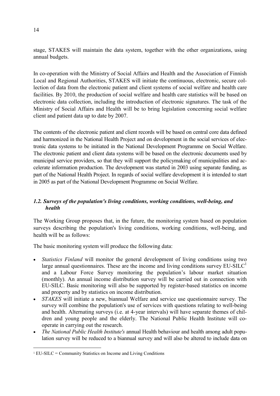stage, STAKES will maintain the data system, together with the other organizations, using annual budgets.

In co-operation with the Ministry of Social Affairs and Health and the Association of Finnish Local and Regional Authorities, STAKES will initiate the continuous, electronic, secure collection of data from the electronic patient and client systems of social welfare and health care facilities. By 2010, the production of social welfare and health care statistics will be based on electronic data collection, including the introduction of electronic signatures. The task of the Ministry of Social Affairs and Health will be to bring legislation concerning social welfare client and patient data up to date by 2007.

The contents of the electronic patient and client records will be based on central core data defined and harmonized in the National Health Project and on development in the social services of electronic data systems to be initiated in the National Development Programme on Social Welfare. The electronic patient and client data systems will be based on the electronic documents used by municipal service providers, so that they will support the policymaking of municipalities and accelerate information production. The development was started in 2003 using separate funding, as part of the National Health Project. In regards of social welfare development it is intended to start in 2005 as part of the National Development Programme on Social Welfare.

## *1.2. Surveys of the population's living conditions, working conditions, well-being, and health*

The Working Group proposes that, in the future, the monitoring system based on population surveys describing the population's living conditions, working conditions, well-being, and health will be as follows:

The basic monitoring system will produce the following data:

- - *Statistics Finland* will monitor the general development of living conditions using two large annual questionnaires. These are the income and living conditions survey  $EU-SILC<sup>1</sup>$ and a Labour Force Survey monitoring the population's labour market situation (monthly). An annual income distribution survey will be carried out in connection with EU-SILC. Basic monitoring will also be supported by register-based statistics on income and property and by statistics on income distribution.
- - *STAKES* will initiate a new, biannual Welfare and service use questionnaire survey. The survey will combine the population's use of services with questions relating to well-being and health. Alternating surveys (i.e. at 4-year intervals) will have separate themes of children and young people and the elderly. The National Public Health Institute will cooperate in carrying out the research.
- - *The National Public Health Institute's* annual Health behaviour and health among adult population survey will be reduced to a biannual survey and will also be altered to include data on

 $\overline{a}$ 

 $1$  EU-SILC = Community Statistics on Income and Living Conditions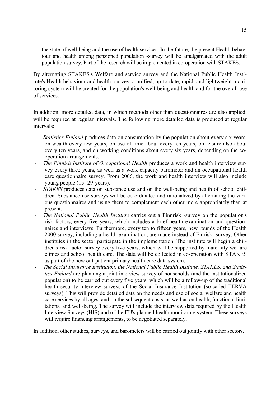the state of well-being and the use of health services. In the future, the present Health behaviour and health among pensioned population -survey will be amalgamated with the adult population survey. Part of the research will be implemented in co-operation with STAKES.

By alternating STAKES's Welfare and service survey and the National Public Health Institute's Health behaviour and health -survey, a unified, up-to-date, rapid, and lightweight monitoring system will be created for the population's well-being and health and for the overall use of services.

In addition, more detailed data, in which methods other than questionnaires are also applied, will be required at regular intervals. The following more detailed data is produced at regular intervals:

- *Statistics Finland* produces data on consumption by the population about every six years, on wealth every few years, on use of time about every ten years, on leisure also about every ten years, and on working conditions about every six years, depending on the cooperation arrangements.
- The Finnish Institute of Occupational Health produces a work and health interview survey every three years, as well as a work capacity barometer and an occupational health care questionnaire survey. From 2006, the work and health interview will also include young people (15 -29-years).
- *STAKES* produces data on substance use and on the well-being and health of school children. Substance use surveys will be co-ordinated and rationalized by alternating the various questionnaires and using them to complement each other more appropriately than at present.
- *The National Public Health Institute* carries out a Finnrisk -survey on the population's risk factors, every five years, which includes a brief health examination and questionnaires and interviews. Furthermore, every ten to fifteen years, new rounds of the Health 2000 survey, including a health examination, are made instead of Finrisk -survey. Other institutes in the sector participate in the implementation. The institute will begin a children's risk factor survey every five years, which will be supported by maternity welfare clinics and school health care. The data will be collected in co-operation with STAKES as part of the new out-patient primary health care data system.
- *The Social Insurance Institution, the National Public Health Institute, STAKES, and Statistics Finland* are planning a joint interview survey of households (and the institutionalized population) to be carried out every five years, which will be a follow-up of the traditional health security interview surveys of the Social Insurance Institution (so-called TERVA surveys). This will provide detailed data on the needs and use of social welfare and health care services by all ages, and on the subsequent costs, as well as on health, functional limitations, and well-being. The survey will include the interview data required by the Health Interview Surveys (HIS) and of the EU's planned health monitoring system. These surveys will require financing arrangements, to be negotiated separately.

In addition, other studies, surveys, and barometers will be carried out jointly with other sectors.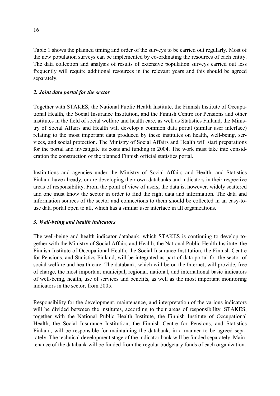Table 1 shows the planned timing and order of the surveys to be carried out regularly. Most of the new population surveys can be implemented by co-ordinating the resources of each entity. The data collection and analysis of results of extensive population surveys carried out less frequently will require additional resources in the relevant years and this should be agreed separately.

## *2. Joint data portal for the sector*

Together with STAKES, the National Public Health Institute, the Finnish Institute of Occupational Health, the Social Insurance Institution, and the Finnish Centre for Pensions and other institutes in the field of social welfare and health care, as well as Statistics Finland, the Ministry of Social Affairs and Health will develop a common data portal (similar user interface) relating to the most important data produced by these institutes on health, well-being, services, and social protection. The Ministry of Social Affairs and Health will start preparations for the portal and investigate its costs and funding in 2004. The work must take into consideration the construction of the planned Finnish official statistics portal.

Institutions and agencies under the Ministry of Social Affairs and Health, and Statistics Finland have already, or are developing their own databanks and indicators in their respective areas of responsibility. From the point of view of users, the data is, however, widely scattered and one must know the sector in order to find the right data and information. The data and information sources of the sector and connections to them should be collected in an easy-touse data portal open to all, which has a similar user interface in all organizations.

## *3. Well-being and health indicators*

The well-being and health indicator databank, which STAKES is continuing to develop together with the Ministry of Social Affairs and Health, the National Public Health Institute, the Finnish Institute of Occupational Health, the Social Insurance Institution, the Finnish Centre for Pensions, and Statistics Finland, will be integrated as part of data portal for the sector of social welfare and health care. The databank, which will be on the Internet, will provide, free of charge, the most important municipal, regional, national, and international basic indicators of well-being, health, use of services and benefits, as well as the most important monitoring indicators in the sector, from 2005.

Responsibility for the development, maintenance, and interpretation of the various indicators will be divided between the institutes, according to their areas of responsibility. STAKES, together with the National Public Health Institute, the Finnish Institute of Occupational Health, the Social Insurance Institution, the Finnish Centre for Pensions, and Statistics Finland, will be responsible for maintaining the databank, in a manner to be agreed separately. The technical development stage of the indicator bank will be funded separately. Maintenance of the databank will be funded from the regular budgetary funds of each organization.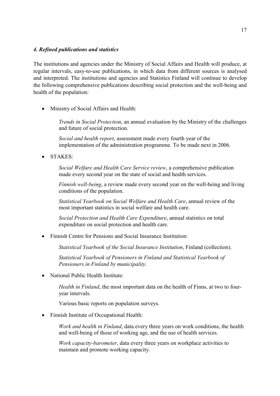#### *4. Refined publications and statistics*

The institutions and agencies under the Ministry of Social Affairs and Health will produce, at regular intervals, easy-to-use publications, in which data from different sources is analysed and interpreted. The institutions and agencies and Statistics Finland will continue to develop the following comprehensive publications describing social protection and the well-being and health of the population:

- Ministry of Social Affairs and Health:

*Trends in Social Protection*, an annual evaluation by the Ministry of the challenges and future of social protection.

*Social and health report*, assessment made every fourth year of the implementation of the administration programme. To be made next in 2006.

- STAKES:

*Social Welfare and Health Care Service review*, a comprehensive publication made every second year on the state of social and health services.

*Finnish well-being*, a review made every second year on the well-being and living conditions of the population.

*Statistical Yearbook on Social Welfare and Health Care*, annual review of the most important statistics in social welfare and health care.

*Social Protection and Health Care Expenditure*, annual statistics on total expenditure on social protection and health care.

- Finnish Centre for Pensions and Social Insurance Institution:

*Statistical Yearbook of the Social Insurance Institution*, Finland (collection).

*Statistical Yearbook of Pensioners in Finland and Statistical Yearbook of Pensioners in Finland by municipality*.

-National Public Health Institute:

> *Health in Finland*, the most important data on the health of Finns, at two to fouryear intervals.

Various basic reports on population surveys.

- Finnish Institute of Occupational Health:

*Work and health in Finland*, data every three years on work conditions, the health and well-being of those of working age, and the use of health services.

*Work capacity-barometer*, data every three years on workplace activities to maintain and promote working capacity.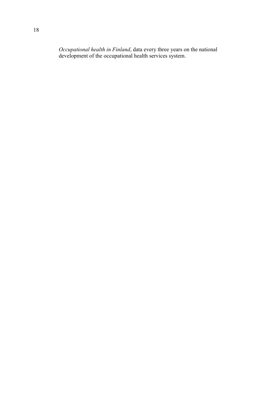*Occupational health in Finland*, data every three years on the national development of the occupational health services system.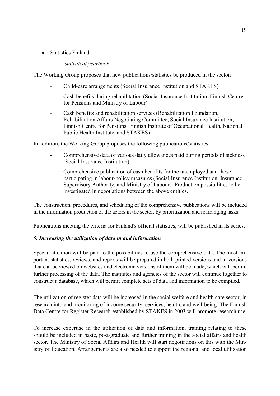• Statistics Finland:

## *Statistical yearbook*

The Working Group proposes that new publications/statistics be produced in the sector:

- Child-care arrangements (Social Insurance Institution and STAKES)
- Cash benefits during rehabilitation (Social Insurance Institution, Finnish Centre for Pensions and Ministry of Labour)
- Cash benefits and rehabilitation services (Rehabilitation Foundation, Rehabilitation Affairs Negotiating Committee, Social Insurance Institution, Finnish Centre for Pensions, Finnish Institute of Occupational Health, National Public Health Institute, and STAKES)

In addition, the Working Group proposes the following publications/statistics:

- Comprehensive data of various daily allowances paid during periods of sickness (Social Insurance Institution)
- Comprehensive publication of cash benefits for the unemployed and those participating in labour-policy measures (Social Insurance Institution, Insurance Supervisory Authority, and Ministry of Labour). Production possibilities to be investigated in negotiations between the above entities.

The construction, procedures, and scheduling of the comprehensive publications will be included in the information production of the actors in the sector, by prioritization and rearranging tasks.

Publications meeting the criteria for Finland's official statistics, will be published in its series.

## *5. Increasing the utilization of data in and information*

Special attention will be paid to the possibilities to use the comprehensive data. The most important statistics, reviews, and reports will be prepared in both printed versions and in versions that can be viewed on websites and electronic versions of them will be made, which will permit further processing of the data. The institutes and agencies of the sector will continue together to construct a database, which will permit complete sets of data and information to be compiled.

The utilization of register data will be increased in the social welfare and health care sector, in research into and monitoring of income security, services, health, and well-being. The Finnish Data Centre for Register Research established by STAKES in 2003 will promote research use.

To increase expertise in the utilization of data and information, training relating to these should be included in basic, post-graduate and further training in the social affairs and health sector. The Ministry of Social Affairs and Health will start negotiations on this with the Ministry of Education. Arrangements are also needed to support the regional and local utilization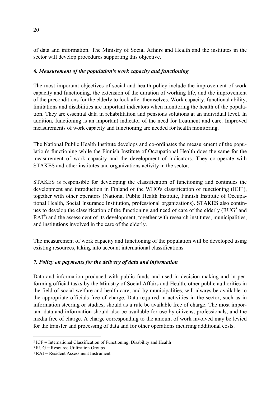of data and information. The Ministry of Social Affairs and Health and the institutes in the sector will develop procedures supporting this objective.

## *6. Measurement of the population's work capacity and functioning*

The most important objectives of social and health policy include the improvement of work capacity and functioning, the extension of the duration of working life, and the improvement of the preconditions for the elderly to look after themselves. Work capacity, functional ability, limitations and disabilities are important indicators when monitoring the health of the population. They are essential data in rehabilitation and pensions solutions at an individual level. In addition, functioning is an important indicator of the need for treatment and care. Improved measurements of work capacity and functioning are needed for health monitoring.

The National Public Health Institute develops and co-ordinates the measurement of the population's functioning while the Finnish Institute of Occupational Health does the same for the measurement of work capacity and the development of indicators. They co-operate with STAKES and other institutes and organizations activity in the sector.

STAKES is responsible for developing the classification of functioning and continues the development and introduction in Finland of the WHO's classification of functioning  $(ICF<sup>2</sup>)$ , together with other operators (National Public Health Institute, Finnish Institute of Occupational Health, Social Insurance Institution, professional organizations). STAKES also continues to develop the classification of the functioning and need of care of the elderly ( $RUG<sup>3</sup>$  and  $RAI<sup>4</sup>$ ) and the assessment of its development, together with research institutes, municipalities, and institutions involved in the care of the elderly.

The measurement of work capacity and functioning of the population will be developed using existing resources, taking into account international classifications.

## *7. Policy on payments for the delivery of data and information*

Data and information produced with public funds and used in decision-making and in performing official tasks by the Ministry of Social Affairs and Health, other public authorities in the field of social welfare and health care, and by municipalities, will always be available to the appropriate officials free of charge. Data required in activities in the sector, such as in information steering or studies, should as a rule be available free of charge. The most important data and information should also be available for use by citizens, professionals, and the media free of charge. A charge corresponding to the amount of work involved may be levied for the transfer and processing of data and for other operations incurring additional costs.

 $\overline{a}$ 

 $2$  ICF = International Classification of Functioning, Disability and Health

<sup>3</sup> RUG = Resource Utilization Groups

<sup>4</sup> RAI = Resident Assessment Instrument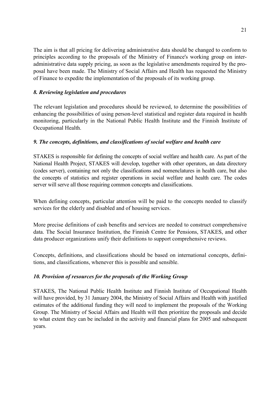The aim is that all pricing for delivering administrative data should be changed to conform to principles according to the proposals of the Ministry of Finance's working group on interadministrative data supply pricing, as soon as the legislative amendments required by the proposal have been made. The Ministry of Social Affairs and Health has requested the Ministry of Finance to expedite the implementation of the proposals of its working group.

## *8. Reviewing legislation and procedures*

The relevant legislation and procedures should be reviewed, to determine the possibilities of enhancing the possibilities of using person-level statistical and register data required in health monitoring, particularly in the National Public Health Institute and the Finnish Institute of Occupational Health.

## *9. The concepts, definitions, and classifications of social welfare and health care*

STAKES is responsible for defining the concepts of social welfare and health care. As part of the National Health Project, STAKES will develop, together with other operators, an data directory (codes server), containing not only the classifications and nomenclatures in health care, but also the concepts of statistics and register operations in social welfare and health care. The codes server will serve all those requiring common concepts and classifications.

When defining concepts, particular attention will be paid to the concepts needed to classify services for the elderly and disabled and of housing services.

More precise definitions of cash benefits and services are needed to construct comprehensive data. The Social Insurance Institution, the Finnish Centre for Pensions, STAKES, and other data producer organizations unify their definitions to support comprehensive reviews.

Concepts, definitions, and classifications should be based on international concepts, definitions, and classifications, whenever this is possible and sensible.

## *10. Provision of resources for the proposals of the Working Group*

STAKES, The National Public Health Institute and Finnish Institute of Occupational Health will have provided, by 31 January 2004, the Ministry of Social Affairs and Health with justified estimates of the additional funding they will need to implement the proposals of the Working Group. The Ministry of Social Affairs and Health will then prioritize the proposals and decide to what extent they can be included in the activity and financial plans for 2005 and subsequent years.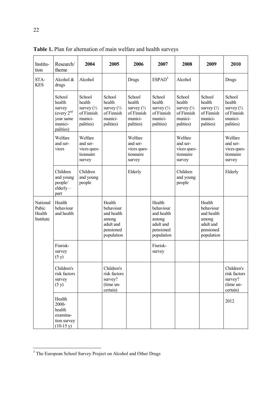| Institu-<br>tion                         | Research/<br>theme                                                              | 2004                                                                            | 2005                                                                               | 2006                                                                           | 2007                                                                               | 2008                                                                            | 2009                                                                               | 2010                                                                            |
|------------------------------------------|---------------------------------------------------------------------------------|---------------------------------------------------------------------------------|------------------------------------------------------------------------------------|--------------------------------------------------------------------------------|------------------------------------------------------------------------------------|---------------------------------------------------------------------------------|------------------------------------------------------------------------------------|---------------------------------------------------------------------------------|
| STA-<br><b>KES</b>                       | Alcohol &<br>drugs                                                              | Alcohol                                                                         |                                                                                    | Drugs                                                                          | ESPAD <sup>5</sup>                                                                 | Alcohol                                                                         |                                                                                    | Drugs                                                                           |
|                                          | School<br>health<br>survey<br>(every $2nd$<br>year same<br>munici-<br>palities) | School<br>health<br>survey $\binom{1}{2}$<br>of Finnish<br>munici-<br>palities) | School<br>health<br>survey $\frac{1}{2}$<br>of Finnish<br>munici-<br>palities)     | School<br>health<br>survey $\frac{1}{2}$<br>of Finnish<br>munici-<br>palities) | School<br>health<br>survey $\frac{1}{2}$<br>of Finnish<br>munici-<br>palities)     | School<br>health<br>survey $\binom{1}{2}$<br>of Finnish<br>munici-<br>palities) | School<br>health<br>survey $\frac{1}{2}$<br>of Finnish<br>munici-<br>palities)     | School<br>health<br>survey $\binom{1}{2}$<br>of Finnish<br>munici-<br>palities) |
|                                          | Welfare<br>and ser-<br>vices                                                    | Welfare<br>and ser-<br>vices ques-<br>tionnaire<br>survey                       |                                                                                    | Welfare<br>and ser-<br>vices ques-<br>tionnaire<br>survey                      |                                                                                    | Welfare<br>and ser-<br>vices ques-<br>tionnaire<br>survey                       |                                                                                    | Welfare<br>and ser-<br>vices ques-<br>tionnaire<br>survey                       |
|                                          | Children<br>and young<br>people/<br>$elderly-$<br>part                          | Children<br>and young<br>people                                                 |                                                                                    | Elderly                                                                        |                                                                                    | Children<br>and young<br>people                                                 |                                                                                    | Elderly                                                                         |
| National<br>Pubic<br>Health<br>Institute | Health<br>behaviour<br>and health                                               |                                                                                 | Health<br>behaviour<br>and health<br>among<br>adult and<br>pensioned<br>population |                                                                                | Health<br>behaviour<br>and health<br>among<br>adult and<br>pensioned<br>population |                                                                                 | Health<br>behaviour<br>and health<br>among<br>adult and<br>pensioned<br>population |                                                                                 |
|                                          | Finrisk-<br>survey<br>(5 y)                                                     |                                                                                 |                                                                                    |                                                                                | Finrisk-<br>survey                                                                 |                                                                                 |                                                                                    |                                                                                 |
|                                          | Children's<br>risk factors<br>survey<br>(5 y)                                   |                                                                                 | Children's<br>risk factors<br>survey?<br>(time un-<br>certain)                     |                                                                                |                                                                                    |                                                                                 |                                                                                    | Children's<br>risk factors<br>survey?<br>(time un-<br>certain)                  |
|                                          | Health<br>2000-<br>health<br>examina-<br>tion survey<br>$(10-15 y)$             |                                                                                 |                                                                                    |                                                                                |                                                                                    |                                                                                 |                                                                                    | 2012                                                                            |

**Table 1.** Plan for alternation of main welfare and health surveys

<sup>&</sup>lt;sup>5</sup> The European School Survey Project on Alcohol and Other Drugs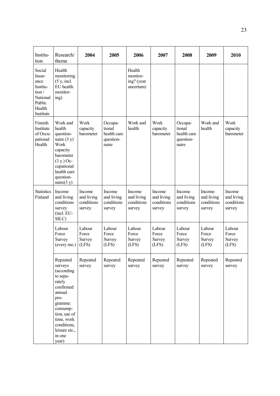| Institu-<br>tion                                                                           | Research/<br>theme                                                                                                                                                                             | 2004                                         | 2005                                                   | 2006                                           | 2007                                         | 2008                                                   | 2009                                         | 2010                                         |
|--------------------------------------------------------------------------------------------|------------------------------------------------------------------------------------------------------------------------------------------------------------------------------------------------|----------------------------------------------|--------------------------------------------------------|------------------------------------------------|----------------------------------------------|--------------------------------------------------------|----------------------------------------------|----------------------------------------------|
| Social<br>Insur-<br>ance<br>Institu-<br>tion/<br>National<br>Public<br>Health<br>Institute | Health<br>monitoring<br>(5 y, incl.<br>EU health<br>monitor-<br>ing)                                                                                                                           |                                              |                                                        | Health<br>monitor-<br>ing? (year<br>uncertain) |                                              |                                                        |                                              |                                              |
| Finnish<br>Institute<br>of Occu-<br>pational<br>Health                                     | Work and<br>health<br>question-<br>naire $(3 y)$<br>Work<br>capacity<br>barometer<br>$(3 y.)$ Oc-<br>cupational<br>health care<br>question-<br>naire(3 y)                                      | Work<br>capacity<br>barometer                | Occupa-<br>tional<br>health care<br>question-<br>naire | Work and<br>health                             | Work<br>capacity<br>barometer                | Occupa-<br>tional<br>health care<br>question-<br>naire | Work and<br>health                           | Work<br>capacity<br>barometer                |
| <b>Statistics</b><br>Finland                                                               | Income<br>and living<br>conditions<br>survey<br>(incl. EU-<br>SILC)                                                                                                                            | Income<br>and living<br>conditions<br>survey | Income<br>and living<br>conditions<br>survey           | Income<br>and living<br>conditions<br>survey   | Income<br>and living<br>conditions<br>survey | Income<br>and living<br>conditions<br>survey           | Income<br>and living<br>conditions<br>survey | Income<br>and living<br>conditions<br>survey |
|                                                                                            | Labour<br>Force<br>Survey<br>(every mo.)                                                                                                                                                       | Labour<br>Force<br>Survey<br>(LFS)           | Labour<br>Force<br>Survey<br>(LFS)                     | Labour<br>Force<br>Survey<br>(LFS)             | Labour<br>Force<br>Survey<br>(LFS)           | Labour<br>Force<br>Survey<br>(LFS)                     | Labour<br>Force<br>Survey<br>(LFS)           | Labour<br>Force<br>Survey<br>(LFS)           |
|                                                                                            | Repeated<br>surveys<br>(according<br>to sepa-<br>rately<br>confirmed<br>annual<br>pro-<br>gramme:<br>consump-<br>tion, use of<br>time, work<br>conditions,<br>leisure etc.,<br>in one<br>year) | Repeated<br>survey                           | Repeated<br>survey                                     | Repeated<br>survey                             | Repeated<br>survey                           | Repeated<br>survey                                     | Repeated<br>survey                           | Repeated<br>survey                           |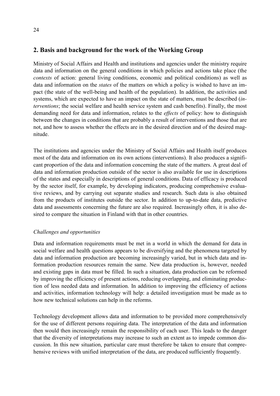## **2. Basis and background for the work of the Working Group**

Ministry of Social Affairs and Health and institutions and agencies under the ministry require data and information on the general conditions in which policies and actions take place (the *contexts* of action: general living conditions, economic and political conditions) as well as data and information on the *states* of the matters on which a policy is wished to have an impact (the state of the well-being and health of the population). In addition, the activities and systems, which are expected to have an impact on the state of matters, must be described (*interventions*; the social welfare and health service system and cash benefits). Finally, the most demanding need for data and information, relates to the *effects* of policy: how to distinguish between the changes in conditions that are probably a result of interventions and those that are not, and how to assess whether the effects are in the desired direction and of the desired magnitude.

The institutions and agencies under the Ministry of Social Affairs and Health itself produces most of the data and information on its own actions (interventions). It also produces a significant proportion of the data and information concerning the state of the matters. A great deal of data and information production outside of the sector is also available for use in descriptions of the states and especially in descriptions of general conditions. Data of efficacy is produced by the sector itself, for example, by developing indicators, producing comprehensive evaluative reviews, and by carrying out separate studies and research. Such data is also obtained from the products of institutes outside the sector. In addition to up-to-date data, predictive data and assessments concerning the future are also required. Increasingly often, it is also desired to compare the situation in Finland with that in other countries.

## *Challenges and opportunities*

Data and information requirements must be met in a world in which the demand for data in social welfare and health questions appears to be diversifying and the phenomena targeted by data and information production are becoming increasingly varied, but in which data and information production resources remain the same. New data production is, however, needed and existing gaps in data must be filled. In such a situation, data production can be reformed by improving the efficiency of present actions, reducing overlapping, and eliminating production of less needed data and information. In addition to improving the efficiency of actions and activities, information technology will help: a detailed investigation must be made as to how new technical solutions can help in the reforms.

Technology development allows data and information to be provided more comprehensively for the use of different persons requiring data. The interpretation of the data and information then would then increasingly remain the responsibility of each user. This leads to the danger that the diversity of interpretations may increase to such an extent as to impede common discussion. In this new situation, particular care must therefore be taken to ensure that comprehensive reviews with unified interpretation of the data, are produced sufficiently frequently.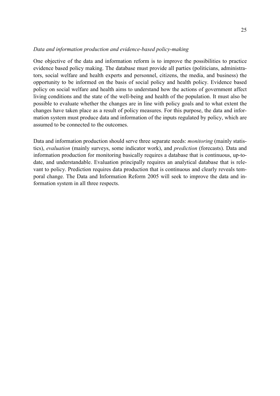#### *Data and information production and evidence-based policy-making*

One objective of the data and information reform is to improve the possibilities to practice evidence based policy making. The database must provide all parties (politicians, administrators, social welfare and health experts and personnel, citizens, the media, and business) the opportunity to be informed on the basis of social policy and health policy. Evidence based policy on social welfare and health aims to understand how the actions of government affect living conditions and the state of the well-being and health of the population. It must also be possible to evaluate whether the changes are in line with policy goals and to what extent the changes have taken place as a result of policy measures. For this purpose, the data and information system must produce data and information of the inputs regulated by policy, which are assumed to be connected to the outcomes.

Data and information production should serve three separate needs: *monitoring* (mainly statistics), *evaluation* (mainly surveys, some indicator work), and *prediction* (forecasts). Data and information production for monitoring basically requires a database that is continuous, up-todate, and understandable. Evaluation principally requires an analytical database that is relevant to policy. Prediction requires data production that is continuous and clearly reveals temporal change. The Data and Information Reform 2005 will seek to improve the data and information system in all three respects.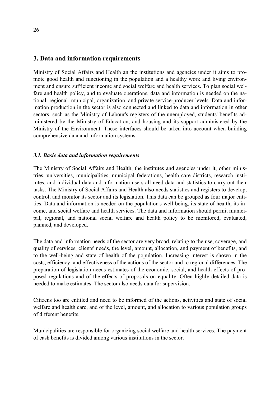## **3. Data and information requirements**

Ministry of Social Affairs and Health an the institutions and agencies under it aims to promote good health and functioning in the population and a healthy work and living environment and ensure sufficient income and social welfare and health services. To plan social welfare and health policy, and to evaluate operations, data and information is needed on the national, regional, municipal, organization, and private service-producer levels. Data and information production in the sector is also connected and linked to data and information in other sectors, such as the Ministry of Labour's registers of the unemployed, students' benefits administered by the Ministry of Education, and housing and its support administered by the Ministry of the Environment. These interfaces should be taken into account when building comprehensive data and information systems.

## *3.1. Basic data and information requirements*

The Ministry of Social Affairs and Health, the institutes and agencies under it, other ministries, universities, municipalities, municipal federations, health care districts, research institutes, and individual data and information users all need data and statistics to carry out their tasks. The Ministry of Social Affairs and Health also needs statistics and registers to develop, control, and monitor its sector and its legislation. This data can be grouped as four major entities. Data and information is needed on the population's well-being, its state of health, its income, and social welfare and health services. The data and information should permit municipal, regional, and national social welfare and health policy to be monitored, evaluated, planned, and developed.

The data and information needs of the sector are very broad, relating to the use, coverage, and quality of services, clients' needs, the level, amount, allocation, and payment of benefits, and to the well-being and state of health of the population. Increasing interest is shown in the costs, efficiency, and effectiveness of the actions of the sector and to regional differences. The preparation of legislation needs estimates of the economic, social, and health effects of proposed regulations and of the effects of proposals on equality. Often highly detailed data is needed to make estimates. The sector also needs data for supervision.

Citizens too are entitled and need to be informed of the actions, activities and state of social welfare and health care, and of the level, amount, and allocation to various population groups of different benefits.

Municipalities are responsible for organizing social welfare and health services. The payment of cash benefits is divided among various institutions in the sector.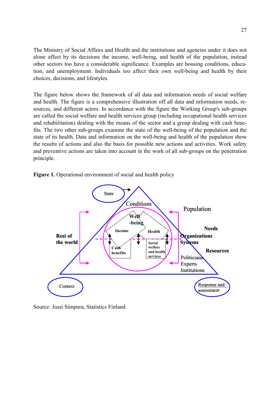The Ministry of Social Affairs and Health and the institutions and agencies under it does not alone affect by its decisions the income, well-being, and health of the population, instead other sectors too have a considerable significance. Examples are housing conditions, education, and unemployment. Individuals too affect their own well-being and health by their choices, decisions, and lifestyles.

The figure below shows the framework of all data and information needs of social welfare and health. The figure is a comprehensive illustration off all data and information needs, resources, and different actors. In accordance with the figure the Working Group's sub-groups are called the social welfare and health services group (including occupational health services and rehabilitation) dealing with the means of the sector and a group dealing with cash benefits. The two other sub-groups examine the state of the well-being of the population and the state of its health. Data and information on the well-being and health of the population show the results of actions and also the basis for possible new actions and activities. Work safety and preventive actions are taken into account in the work of all sub-groups on the penetration principle.



Figure 1. Operational environment of social and health policy

Source: Jussi Simpura, Statistics Finland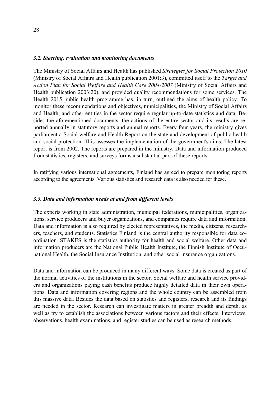#### *3.2. Steering, evaluation and monitoring documents*

The Ministry of Social Affairs and Health has published *Strategies for Social Protection 2010* (Ministry of Social Affairs and Health publication 2001:3), committed itself to the *Target and Action Plan for Social Welfare and Health Care 2004-2007* (Ministry of Social Affairs and Health publication 2003:20), and provided quality recommendations for some services. The Health 2015 public health programme has, in turn, outlined the aims of health policy. To monitor these recommendations and objectives, municipalities, the Ministry of Social Affairs and Health, and other entities in the sector require regular up-to-date statistics and data. Besides the aforementioned documents, the actions of the entire sector and its results are reported annually in statutory reports and annual reports. Every four years, the ministry gives parliament a Social welfare and Health Report on the state and development of public health and social protection. This assesses the implementation of the government's aims. The latest report is from 2002. The reports are prepared in the ministry. Data and information produced from statistics, registers, and surveys forms a substantial part of these reports.

In ratifying various international agreements, Finland has agreed to prepare monitoring reports according to the agreements. Various statistics and research data is also needed for these.

#### *3.3. Data and information needs at and from different levels*

The experts working in state administration, municipal federations, municipalities, organizations, service producers and buyer organizations, and companies require data and information. Data and information is also required by elected representatives, the media, citizens, researchers, teachers, and students. Statistics Finland is the central authority responsible for data coordination. STAKES is the statistics authority for health and social welfare. Other data and information producers are the National Public Health Institute, the Finnish Institute of Occupational Health, the Social Insurance Institution, and other social insurance organizations.

Data and information can be produced in many different ways. Some data is created as part of the normal activities of the institutions in the sector. Social welfare and health service providers and organizations paying cash benefits produce highly detailed data in their own operations. Data and information covering regions and the whole country can be assembled from this massive data. Besides the data based on statistics and registers, research and its findings are needed in the sector. Research can investigate matters in greater breadth and depth, as well as try to establish the associations between various factors and their effects. Interviews, observations, health examinations, and register studies can be used as research methods.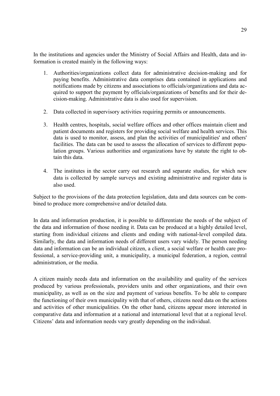In the institutions and agencies under the Ministry of Social Affairs and Health, data and information is created mainly in the following ways:

- 1. Authorities/organizations collect data for administrative decision-making and for paying benefits. Administrative data comprises data contained in applications and notifications made by citizens and associations to officials/organizations and data acquired to support the payment by officials/organizations of benefits and for their decision-making. Administrative data is also used for supervision.
- 2. Data collected in supervisory activities requiring permits or announcements.
- 3. Health centres, hospitals, social welfare offices and other offices maintain client and patient documents and registers for providing social welfare and health services. This data is used to monitor, assess, and plan the activities of municipalities' and others' facilities. The data can be used to assess the allocation of services to different population groups. Various authorities and organizations have by statute the right to obtain this data.
- 4. The institutes in the sector carry out research and separate studies, for which new data is collected by sample surveys and existing administrative and register data is also used.

Subject to the provisions of the data protection legislation, data and data sources can be combined to produce more comprehensive and/or detailed data.

In data and information production, it is possible to differentiate the needs of the subject of the data and information of those needing it. Data can be produced at a highly detailed level, starting from individual citizens and clients and ending with national-level compiled data. Similarly, the data and information needs of different users vary widely. The person needing data and information can be an individual citizen, a client, a social welfare or health care professional, a service-providing unit, a municipality, a municipal federation, a region, central administration, or the media.

A citizen mainly needs data and information on the availability and quality of the services produced by various professionals, providers units and other organizations, and their own municipality, as well as on the size and payment of various benefits. To be able to compare the functioning of their own municipality with that of others, citizens need data on the actions and activities of other municipalities. On the other hand, citizens appear more interested in comparative data and information at a national and international level that at a regional level. Citizens' data and information needs vary greatly depending on the individual.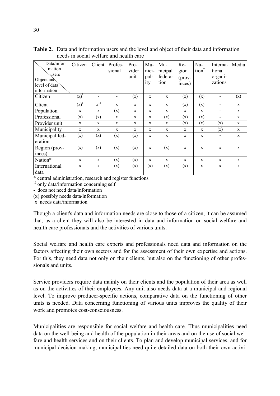| Data/infor-<br>mation<br>users<br>Object and<br>level of data<br>information | Citizen     | Client             | Profes-<br>sional | Pro-<br>vider<br>unit | Mu-<br>nici-<br>pal-<br>ity | Mu-<br>nicipal<br>federa-<br>tion | Re-<br>gion<br>$(\text{prov-})$<br>inces) | Na-<br>tion <sup>*</sup> | Interna-<br>tional<br>organi-<br>zations | Media       |
|------------------------------------------------------------------------------|-------------|--------------------|-------------------|-----------------------|-----------------------------|-----------------------------------|-------------------------------------------|--------------------------|------------------------------------------|-------------|
| Citizen                                                                      | $(x)^{1}$   |                    |                   | (x)                   | $\mathbf{x}$                | $\mathbf{x}$                      | (x)                                       | (x)                      |                                          | (x)         |
| Client                                                                       | $(x)^{1}$   | $\mathbf{x}^{(1)}$ | X                 | X                     | X                           | X                                 | (x)                                       | (x)                      | -                                        | X           |
| Population                                                                   | X           | X                  | (x)               | X                     | X                           | X                                 | X                                         | X                        | -                                        | X           |
| Professional                                                                 | (x)         | (x)                | X                 | X                     | X                           | (x)                               | (x)                                       | (x)                      | -                                        | X           |
| Provider unit                                                                | $\mathbf x$ | X                  | X                 | X                     | X                           | X                                 | (x)                                       | (x)                      | (x)                                      | X           |
| Municipality                                                                 | X           | X                  | X                 | X                     | X                           | X                                 | X                                         | X                        | (x)                                      | X           |
| Municipal fed-<br>eration                                                    | (x)         | (x)                | (x)               | (x)                   | X                           | X                                 | X                                         | X                        | $\qquad \qquad \blacksquare$             | $\mathbf X$ |
| Region (prov-                                                                | (x)         | (x)                | (x)               | (x)                   | X                           | (x)                               | X                                         | X                        | X                                        | X           |
| inces)                                                                       |             |                    |                   |                       |                             |                                   |                                           |                          |                                          |             |
| Nation*                                                                      | X           | X                  | (x)               | (x)                   | $\mathbf x$                 | $\mathbf x$                       | X                                         | X                        | X                                        | X           |
| International<br>data                                                        | $\mathbf X$ | $\mathbf{x}$       | (x)               | (x)                   | (x)                         | (x)                               | (x)                                       | X                        | $\mathbf X$                              | $\mathbf X$ |

**Table 2.** Data and information users and the level and object of their data and information needs in social welfare and health care

\* central administration, research and register functions

<sup>1)</sup> only data/information concerning self

- does not need data/information

(x) possibly needs data/information

x needs data/information

Though a client's data and information needs are close to those of a citizen, it can be assumed that, as a client they will also be interested in data and information on social welfare and health care professionals and the activities of various units.

Social welfare and health care experts and professionals need data and information on the factors affecting their own sectors and for the assessment of their own expertise and actions. For this, they need data not only on their clients, but also on the functioning of other professionals and units.

Service providers require data mainly on their clients and the population of their area as well as on the activities of their employees. Any unit also needs data at a municipal and regional level. To improve producer-specific actions, comparative data on the functioning of other units is needed. Data concerning functioning of various units improves the quality of their work and promotes cost-consciousness.

Municipalities are responsible for social welfare and health care. Thus municipalities need data on the well-being and health of the population in their areas and on the use of social welfare and health services and on their clients. To plan and develop municipal services, and for municipal decision-making, municipalities need quite detailed data on both their own activi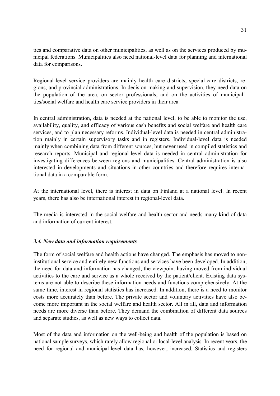ties and comparative data on other municipalities, as well as on the services produced by municipal federations. Municipalities also need national-level data for planning and international data for comparisons.

Regional-level service providers are mainly health care districts, special-care districts, regions, and provincial administrations. In decision-making and supervision, they need data on the population of the area, on sector professionals, and on the activities of municipalities/social welfare and health care service providers in their area.

In central administration, data is needed at the national level, to be able to monitor the use, availability, quality, and efficacy of various cash benefits and social welfare and health care services, and to plan necessary reforms. Individual-level data is needed in central administration mainly in certain supervisory tasks and in registers. Individual-level data is needed mainly when combining data from different sources, but never used in compiled statistics and research reports. Municipal and regional-level data is needed in central administration for investigating differences between regions and municipalities. Central administration is also interested in developments and situations in other countries and therefore requires international data in a comparable form.

At the international level, there is interest in data on Finland at a national level. In recent years, there has also be international interest in regional-level data.

The media is interested in the social welfare and health sector and needs many kind of data and information of current interest.

## *3.4. New data and information requirements*

The form of social welfare and health actions have changed. The emphasis has moved to noninstitutional service and entirely new functions and services have been developed. In addition, the need for data and information has changed, the viewpoint having moved from individual activities to the care and service as a whole received by the patient/client. Existing data systems are not able to describe these information needs and functions comprehensively. At the same time, interest in regional statistics has increased. In addition, there is a need to monitor costs more accurately than before. The private sector and voluntary activities have also become more important in the social welfare and health sector. All in all, data and information needs are more diverse than before. They demand the combination of different data sources and separate studies, as well as new ways to collect data.

Most of the data and information on the well-being and health of the population is based on national sample surveys, which rarely allow regional or local-level analysis. In recent years, the need for regional and municipal-level data has, however, increased. Statistics and registers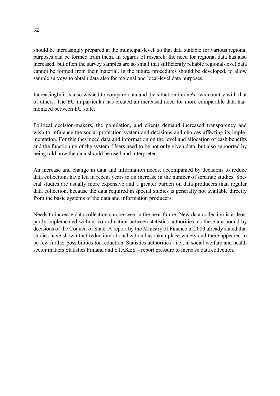should be increasingly prepared at the municipal-level, so that data suitable for various regional purposes can be formed from them. In regards of research, the need for regional data has also increased, but often the survey samples are so small that sufficiently reliable regional-level data cannot be formed from their material. In the future, procedures should be developed, to allow sample surveys to obtain data also for regional and local-level data purposes.

Increasingly it is also wished to compare data and the situation in one's own country with that of others. The EU in particular has created an increased need for more comparable data harmonized between EU state.

Political decision-makers, the population, and clients demand increased transparency and wish to influence the social protection system and decisions and choices affecting its implementation. For this they need data and information on the level and allocation of cash benefits and the functioning of the system. Users need to be not only given data, but also supported by being told how the data should be used and interpreted.

An increase and change in data and information needs, accompanied by decisions to reduce data collection, have led in recent years to an increase in the number of separate studies. Special studies are usually more expensive and a greater burden on data producers than regular data collection, because the data required in special studies is generally not available directly from the basic systems of the data and information producers.

Needs to increase data collection can be seen in the near future. New data collection is at least partly implemented without co-ordination between statistics authorities, as these are bound by decisions of the Council of State. A report by the Ministry of Finance in 2000 already stated that studies have shown that reduction/rationalization has taken place widely and there appeared to be few further possibilities for reduction. Statistics authorities - i.e., in social welfare and health sector matters Statistics Finland and STAKES – report pressure to increase data collection.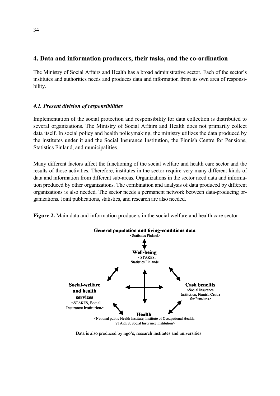## **4. Data and information producers, their tasks, and the co-ordination**

The Ministry of Social Affairs and Health has a broad administrative sector. Each of the sector's institutes and authorities needs and produces data and information from its own area of responsibility.

## *4.1. Present division of responsibilities*

Implementation of the social protection and responsibility for data collection is distributed to several organizations. The Ministry of Social Affairs and Health does not primarily collect data itself. In social policy and health policymaking, the ministry utilizes the data produced by the institutes under it and the Social Insurance Institution, the Finnish Centre for Pensions, Statistics Finland, and municipalities.

Many different factors affect the functioning of the social welfare and health care sector and the results of those activities. Therefore, institutes in the sector require very many different kinds of data and information from different sub-areas. Organizations in the sector need data and information produced by other organizations. The combination and analysis of data produced by different organizations is also needed. The sector needs a permanent network between data-producing organizations. Joint publications, statistics, and research are also needed.

**Figure 2.** Main data and information producers in the social welfare and health care sector



Data is also produced by ngo's, research institutes and universities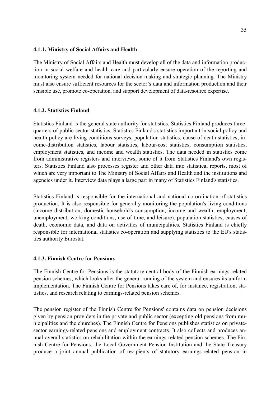#### **4.1.1. Ministry of Social Affairs and Health**

The Ministry of Social Affairs and Health must develop all of the data and information production in social welfare and health care and particularly ensure operation of the reporting and monitoring system needed for national decision-making and strategic planning. The Ministry must also ensure sufficient resources for the sector's data and information production and their sensible use, promote co-operation, and support development of data-resource expertise.

#### **4.1.2. Statistics Finland**

Statistics Finland is the general state authority for statistics. Statistics Finland produces threequarters of public-sector statistics. Statistics Finland's statistics important in social policy and health policy are living-conditions surveys, population statistics, cause of death statistics, income-distribution statistics, labour statistics, labour-cost statistics, consumption statistics, employment statistics, and income and wealth statistics. The data needed in statistics come from administrative registers and interviews, some of it from Statistics Finland's own registers. Statistics Finland also processes register and other data into statistical reports, most of which are very important to The Ministry of Social Affairs and Health and the institutions and agencies under it. Interview data plays a large part in many of Statistics Finland's statistics.

Statistics Finland is responsible for the international and national co-ordination of statistics production. It is also responsible for generally monitoring the population's living conditions (income distribution, domestic-household's consumption, income and wealth, employment, unemployment, working conditions, use of time, and leisure), population statistics, causes of death, economic data, and data on activities of municipalities. Statistics Finland is chiefly responsible for international statistics co-operation and supplying statistics to the EU's statistics authority Eurostat.

#### **4.1.3. Finnish Centre for Pensions**

The Finnish Centre for Pensions is the statutory central body of the Finnish earnings-related pension schemes, which looks after the general running of the system and ensures its uniform implementation. The Finnish Centre for Pensions takes care of, for instance, registration, statistics, and research relating to earnings-related pension schemes.

The pension register of the Finnish Centre for Pensions' contains data on pension decisions given by pension providers in the private and public sector (excepting old pensions from municipalities and the churches). The Finnish Centre for Pensions publishes statistics on privatesector earnings-related pensions and employment contracts. It also collects and produces annual overall statistics on rehabilitation within the earnings-related pension schemes. The Finnish Centre for Pensions, the Local Government Pension Institution and the State Treasury produce a joint annual publication of recipients of statutory earnings-related pension in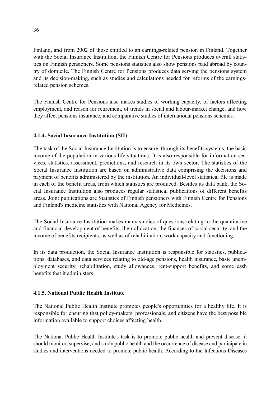Finland, and from 2002 of those entitled to an earnings-related pension in Finland. Together with the Social Insurance Institution, the Finnish Centre for Pensions produces overall statistics on Finnish pensioners. Some pensions statistics also show pensions paid abroad by country of domicile. The Finnish Centre for Pensions produces data serving the pensions system and its decision-making, such as studies and calculations needed for reforms of the earningsrelated pension schemes.

The Finnish Centre for Pensions also makes studies of working capacity, of factors affecting employment, and reason for retirement, of trends in social and labour-market change, and how they affect pensions insurance, and comparative studies of international pensions schemes.

## **4.1.4. Social Insurance Institution (SII)**

The task of the Social Insurance Institution is to ensure, through its benefits systems, the basic income of the population in various life situations. It is also responsible for information services, statistics, assessment, predictions, and research in its own sector. The statistics of the Social Insurance Institution are based on administrative data comprising the decisions and payment of benefits administered by the institution. An individual-level statistical file is made in each of the benefit areas, from which statistics are produced. Besides its data bank, the Social Insurance Institution also produces regular statistical publications of different benefits areas. Joint publications are Statistics of Finnish pensioners with Finnish Centre for Pensions and Finland's medicine statistics with National Agency for Medicines.

The Social Insurance Institution makes many studies of questions relating to the quantitative and financial development of benefits, their allocation, the finances of social security, and the income of benefits recipients, as well as of rehabilitation, work capacity and functioning.

In its data production, the Social Insurance Institution is responsible for statistics, publications, databases, and data services relating to old-age pensions, health insurance, basic unemployment security, rehabilitation, study allowances, rent-support benefits, and some cash benefits that it administers.

## **4.1.5. National Public Health Institute**

The National Public Health Institute promotes people's opportunities for a healthy life. It is responsible for ensuring that policy-makers, professionals, and citizens have the best possible information available to support choices affecting health.

The National Public Health Institute's task is to promote public health and prevent disease: it should monitor, supervise, and study public health and the occurrence of disease and participate in studies and interventions needed to promote public health. According to the Infectious Diseases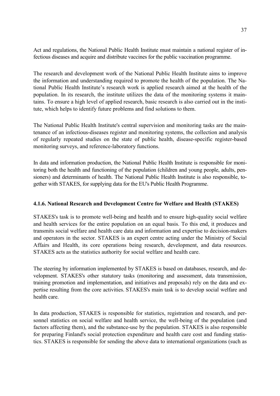Act and regulations, the National Public Health Institute must maintain a national register of infectious diseases and acquire and distribute vaccines for the public vaccination programme.

The research and development work of the National Public Health Institute aims to improve the information and understanding required to promote the health of the population. The National Public Health Institute's research work is applied research aimed at the health of the population. In its research, the institute utilizes the data of the monitoring systems it maintains. To ensure a high level of applied research, basic research is also carried out in the institute, which helps to identify future problems and find solutions to them.

The National Public Health Institute's central supervision and monitoring tasks are the maintenance of an infectious-diseases register and monitoring systems, the collection and analysis of regularly repeated studies on the state of public health, disease-specific register-based monitoring surveys, and reference-laboratory functions.

In data and information production, the National Public Health Institute is responsible for monitoring both the health and functioning of the population (children and young people, adults, pensioners) and determinants of health. The National Public Health Institute is also responsible, together with STAKES, for supplying data for the EU's Public Health Programme.

## **4.1.6. National Research and Development Centre for Welfare and Health (STAKES)**

STAKES's task is to promote well-being and health and to ensure high-quality social welfare and health services for the entire population on an equal basis. To this end, it produces and transmits social welfare and health care data and information and expertise to decision-makers and operators in the sector. STAKES is an expert centre acting under the Ministry of Social Affairs and Health, its core operations being research, development, and data resources. STAKES acts as the statistics authority for social welfare and health care.

The steering by information implemented by STAKES is based on databases, research, and development. STAKES's other statutory tasks (monitoring and assessment, data transmission, training promotion and implementation, and initiatives and proposals) rely on the data and expertise resulting from the core activities. STAKES's main task is to develop social welfare and health care.

In data production, STAKES is responsible for statistics, registration and research, and personnel statistics on social welfare and health service, the well-being of the population (and factors affecting them), and the substance-use by the population. STAKES is also responsible for preparing Finland's social protection expenditure and health care cost and funding statistics. STAKES is responsible for sending the above data to international organizations (such as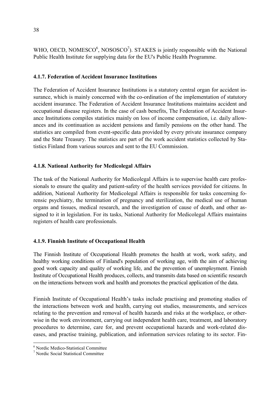WHO, OECD, NOMESCO $\degree$ , NOSOSCO $\degree$ ). STAKES is jointly responsible with the National Public Health Institute for supplying data for the EU's Public Health Programme.

## **4.1.7. Federation of Accident Insurance Institutions**

The Federation of Accident Insurance Institutions is a statutory central organ for accident insurance, which is mainly concerned with the co-ordination of the implementation of statutory accident insurance. The Federation of Accident Insurance Institutions maintains accident and occupational disease registers. In the case of cash benefits, The Federation of Accident Insurance Institutions compiles statistics mainly on loss of income compensation, i.e. daily allowances and its continuation as accident pensions and family pensions on the other hand. The statistics are compiled from event-specific data provided by every private insurance company and the State Treasury. The statistics are part of the work accident statistics collected by Statistics Finland from various sources and sent to the EU Commission.

## **4.1.8. National Authority for Medicolegal Affairs**

The task of the National Authority for Medicolegal Affairs is to supervise health care professionals to ensure the quality and patient-safety of the health services provided for citizens. In addition, National Authority for Medicolegal Affairs is responsible for tasks concerning forensic psychiatry, the termination of pregnancy and sterilization, the medical use of human organs and tissues, medical research, and the investigation of cause of death, and other assigned to it in legislation. For its tasks, National Authority for Medicolegal Affairs maintains registers of health care professionals.

## **4.1.9. Finnish Institute of Occupational Health**

The Finnish Institute of Occupational Health promotes the health at work, work safety, and healthy working conditions of Finland's population of working age, with the aim of achieving good work capacity and quality of working life, and the prevention of unemployment. Finnish Institute of Occupational Health produces, collects, and transmits data based on scientific research on the interactions between work and health and promotes the practical application of the data.

Finnish Institute of Occupational Health's tasks include practising and promoting studies of the interactions between work and health, carrying out studies, measurements, and services relating to the prevention and removal of health hazards and risks at the workplace, or otherwise in the work environment, carrying out independent health care, treatment, and laboratory procedures to determine, care for, and prevent occupational hazards and work-related diseases, and practise training, publication, and information services relating to its sector. Fin-

 $\overline{a}$ 

<sup>6</sup> Nordic Medico-Statistical Committee

<sup>7</sup> Nordic Social Statistical Committee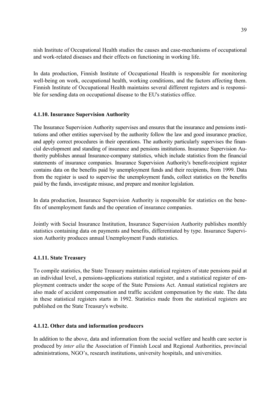nish Institute of Occupational Health studies the causes and case-mechanisms of occupational and work-related diseases and their effects on functioning in working life.

In data production, Finnish Institute of Occupational Health is responsible for monitoring well-being on work, occupational health, working conditions, and the factors affecting them. Finnish Institute of Occupational Health maintains several different registers and is responsible for sending data on occupational disease to the EU's statistics office.

## **4.1.10. Insurance Supervision Authority**

The Insurance Supervision Authority supervises and ensures that the insurance and pensions institutions and other entities supervised by the authority follow the law and good insurance practice, and apply correct procedures in their operations. The authority particularly supervises the financial development and standing of insurance and pensions institutions. Insurance Supervision Authority publishes annual Insurance-company statistics, which include statistics from the financial statements of insurance companies. Insurance Supervision Authority's benefit-recipient register contains data on the benefits paid by unemployment funds and their recipients, from 1999. Data from the register is used to supervise the unemployment funds, collect statistics on the benefits paid by the funds, investigate misuse, and prepare and monitor legislation.

In data production, Insurance Supervision Authority is responsible for statistics on the benefits of unemployment funds and the operation of insurance companies.

Jointly with Social Insurance Institution, Insurance Supervision Authority publishes monthly statistics containing data on payments and benefits, differentiated by type. Insurance Supervision Authority produces annual Unemployment Funds statistics.

#### **4.1.11. State Treasury**

To compile statistics, the State Treasury maintains statistical registers of state pensions paid at an individual level, a pensions-applications statistical register, and a statistical register of employment contracts under the scope of the State Pensions Act. Annual statistical registers are also made of accident compensation and traffic accident compensation by the state. The data in these statistical registers starts in 1992. Statistics made from the statistical registers are published on the State Treasury's website.

#### **4.1.12. Other data and information producers**

In addition to the above, data and information from the social welfare and health care sector is produced by *inter alia* the Association of Finnish Local and Regional Authorities, provincial administrations, NGO's, research institutions, university hospitals, and universities.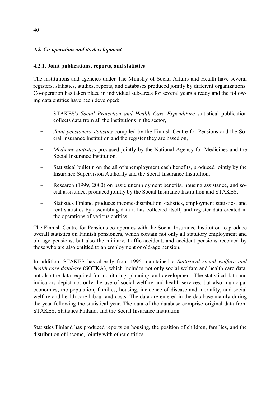## *4.2. Co-operation and its development*

## **4.2.1. Joint publications, reports, and statistics**

The institutions and agencies under The Ministry of Social Affairs and Health have several registers, statistics, studies, reports, and databases produced jointly by different organizations. Co-operation has taken place in individual sub-areas for several years already and the following data entities have been developed:

- STAKES's *Social Protection and Health Care Expenditure* statistical publication collects data from all the institutions in the sector,
- *Joint pensioners statistics* compiled by the Finnish Centre for Pensions and the Social Insurance Institution and the register they are based on,
- *Medicine statistics* produced jointly by the National Agency for Medicines and the Social Insurance Institution,
- Statistical bulletin on the all of unemployment cash benefits, produced jointly by the Insurance Supervision Authority and the Social Insurance Institution,
- Research (1999, 2000) on basic unemployment benefits, housing assistance, and social assistance, produced jointly by the Social Insurance Institution and STAKES,
- Statistics Finland produces income-distribution statistics, employment statistics, and rent statistics by assembling data it has collected itself, and register data created in the operations of various entities.

The Finnish Centre for Pensions co-operates with the Social Insurance Institution to produce overall statistics on Finnish pensioners, which contain not only all statutory employment and old-age pensions, but also the military, traffic-accident, and accident pensions received by those who are also entitled to an employment or old-age pension.

In addition, STAKES has already from 1995 maintained a *Statistical social welfare and health care database* (SOTKA), which includes not only social welfare and health care data, but also the data required for monitoring, planning, and development. The statistical data and indicators depict not only the use of social welfare and health services, but also municipal economics, the population, families, housing, incidence of disease and mortality, and social welfare and health care labour and costs. The data are entered in the database mainly during the year following the statistical year. The data of the database comprise original data from STAKES, Statistics Finland, and the Social Insurance Institution.

Statistics Finland has produced reports on housing, the position of children, families, and the distribution of income, jointly with other entities.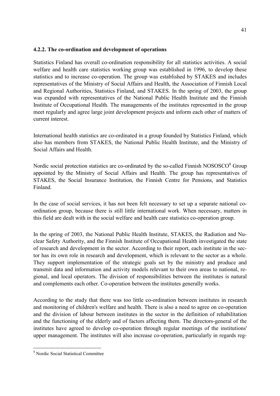#### **4.2.2. The co-ordination and development of operations**

Statistics Finland has overall co-ordination responsibility for all statistics activities. A social welfare and health care statistics working group was established in 1996, to develop these statistics and to increase co-operation. The group was established by STAKES and includes representatives of the Ministry of Social Affairs and Health, the Association of Finnish Local and Regional Authorities, Statistics Finland, and STAKES. In the spring of 2003, the group was expanded with representatives of the National Public Health Institute and the Finnish Institute of Occupational Health. The managements of the institutes represented in the group meet regularly and agree large joint development projects and inform each other of matters of current interest.

International health statistics are co-ordinated in a group founded by Statistics Finland, which also has members from STAKES, the National Public Health Institute, and the Ministry of Social Affairs and Health.

Nordic social protection statistics are co-ordinated by the so-called Finnish NOSOSCO<sup>8</sup> Group appointed by the Ministry of Social Affairs and Health. The group has representatives of STAKES, the Social Insurance Institution, the Finnish Centre for Pensions, and Statistics Finland.

In the case of social services, it has not been felt necessary to set up a separate national coordination group, because there is still little international work. When necessary, matters in this field are dealt with in the social welfare and health care statistics co-operation group.

In the spring of 2003, the National Public Health Institute, STAKES, the Radiation and Nuclear Safety Authority, and the Finnish Institute of Occupational Health investigated the state of research and development in the sector. According to their report, each institute in the sector has its own role in research and development, which is relevant to the sector as a whole. They support implementation of the strategic goals set by the ministry and produce and transmit data and information and activity models relevant to their own areas to national, regional, and local operators. The division of responsibilities between the institutes is natural and complements each other. Co-operation between the institutes generally works.

According to the study that there was too little co-ordination between institutes in research and monitoring of children's welfare and health. There is also a need to agree on co-operation and the division of labour between institutes in the sector in the definition of rehabilitation and the functioning of the elderly and of factors affecting them. The directors-general of the institutes have agreed to develop co-operation through regular meetings of the institutions' upper management. The institutes will also increase co-operation, particularly in regards reg-

 $\overline{a}$ 

<sup>8</sup> Nordic Social Statistical Committee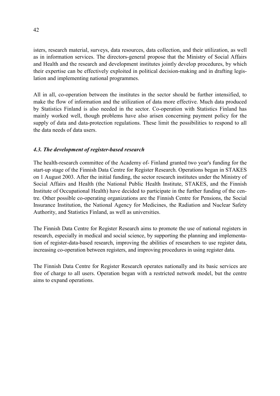isters, research material, surveys, data resources, data collection, and their utilization, as well as in information services. The directors-general propose that the Ministry of Social Affairs and Health and the research and development institutes jointly develop procedures, by which their expertise can be effectively exploited in political decision-making and in drafting legislation and implementing national programmes.

All in all, co-operation between the institutes in the sector should be further intensified, to make the flow of information and the utilization of data more effective. Much data produced by Statistics Finland is also needed in the sector. Co-operation with Statistics Finland has mainly worked well, though problems have also arisen concerning payment policy for the supply of data and data-protection regulations. These limit the possibilities to respond to all the data needs of data users.

## *4.3. The development of register-based research*

The health-research committee of the Academy of- Finland granted two year's funding for the start-up stage of the Finnish Data Centre for Register Research. Operations began in STAKES on 1 August 2003. After the initial funding, the sector research institutes under the Ministry of Social Affairs and Health (the National Public Health Institute, STAKES, and the Finnish Institute of Occupational Health) have decided to participate in the further funding of the centre. Other possible co-operating organizations are the Finnish Centre for Pensions, the Social Insurance Institution, the National Agency for Medicines, the Radiation and Nuclear Safety Authority, and Statistics Finland, as well as universities.

The Finnish Data Centre for Register Research aims to promote the use of national registers in research, especially in medical and social science, by supporting the planning and implementation of register-data-based research, improving the abilities of researchers to use register data, increasing co-operation between registers, and improving procedures in using register data.

The Finnish Data Centre for Register Research operates nationally and its basic services are free of charge to all users. Operation began with a restricted network model, but the centre aims to expand operations.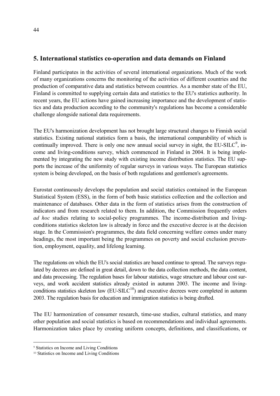## **5. International statistics co-operation and data demands on Finland**

Finland participates in the activities of several international organizations. Much of the work of many organizations concerns the monitoring of the activities of different countries and the production of comparative data and statistics between countries. As a member state of the EU, Finland is committed to supplying certain data and statistics to the EU's statistics authority. In recent years, the EU actions have gained increasing importance and the development of statistics and data production according to the community's regulations has become a considerable challenge alongside national data requirements.

The EU's harmonization development has not brought large structural changes to Finnish social statistics. Existing national statistics form a basis, the international comparability of which is continually improved. There is only one new annual social survey in sight, the EU-SILC $\degree$ , income and living-conditions survey, which commenced in Finland in 2004. It is being implemented by integrating the new study with existing income distribution statistics. The EU supports the increase of the uniformity of regular surveys in various ways. The European statistics system is being developed, on the basis of both regulations and gentlemen's agreements.

Eurostat continuously develops the population and social statistics contained in the European Statistical System (ESS), in the form of both basic statistics collection and the collection and maintenance of databases. Other data in the form of statistics arises from the construction of indicators and from research related to them. In addition, the Commission frequently orders *ad hoc* studies relating to social-policy programmes. The income-distribution and livingconditions statistics skeleton law is already in force and the executive decree is at the decision stage. In the Commission's programmes, the data field concerning welfare comes under many headings, the most important being the programmes on poverty and social exclusion prevention, employment, equality, and lifelong learning.

The regulations on which the EU's social statistics are based continue to spread. The surveys regulated by decrees are defined in great detail, down to the data collection methods, the data content, and data processing. The regulation bases for labour statistics, wage structure and labour cost surveys, and work accident statistics already existed in autumn 2003. The income and livingconditions statistics skeleton law  $(EU-SILC<sup>10</sup>)$  and executive decrees were completed in autumn 2003. The regulation basis for education and immigration statistics is being drafted.

The EU harmonization of consumer research, time-use studies, cultural statistics, and many other population and social statistics is based on recommendations and individual agreements. Harmonization takes place by creating uniform concepts, definitions, and classifications, or

 $\overline{a}$ 

<sup>9</sup> Statistics on Income and Living Conditions

<sup>10</sup> Statistics on Income and Living Conditions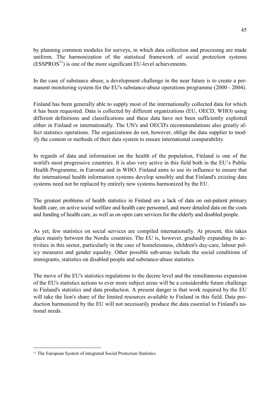by planning common modules for surveys, in which data collection and processing are made uniform. The harmonization of the statistical framework of social protection systems  $(ESSPROS<sup>11</sup>)$  is one of the more significant EU-level achievements.

In the case of substance abuse, a development challenge in the near future is to create a permanent monitoring system for the EU's substance-abuse operations programme (2000 - 2004).

Finland has been generally able to supply most of the internationally collected data for which it has been requested. Data is collected by different organizations (EU, OECD, WHO) using different definitions and classifications and these data have not been sufficiently exploited either in Finland or internationally. The UN's and OECD's recommendations also greatly affect statistics operations. The organizations do not, however, oblige the data supplier to modify the content or methods of their data system to ensure international comparability.

In regards of data and information on the health of the population, Finland is one of the world's most progressive countries. It is also very active in this field both in the EU's Public Health Programme, in Eurostat and in WHO. Finland aims to use its influence to ensure that the international health information systems develop sensibly and that Finland's existing data systems need not be replaced by entirely new systems harmonized by the EU.

The greatest problems of health statistics in Finland are a lack of data on out-patient primary health care, on active social welfare and health care personnel, and more detailed data on the costs and funding of health care, as well as on open care services for the elderly and disabled people.

As yet, few statistics on social services are compiled internationally. At present, this takes place mainly between the Nordic countries. The EU is, however, gradually expanding its activities in this sector, particularly in the case of homelessness, children's day-care, labour policy measures and gender equality. Other possible sub-areas include the social conditions of immigrants, statistics on disabled people and substance-abuse statistics.

The move of the EU's statistics regulations to the decree level and the simultaneous expansion of the EU's statistics actions to ever more subject areas will be a considerable future challenge to Finland's statistics and data production. A present danger is that work required by the EU will take the lion's share of the limited resources available to Finland in this field. Data production harmonized by the EU will not necessarily produce the data essential to Finland's national needs.

 $\overline{a}$ 

<sup>&</sup>lt;sup>11</sup> The European System of integrated Social Protection Statistics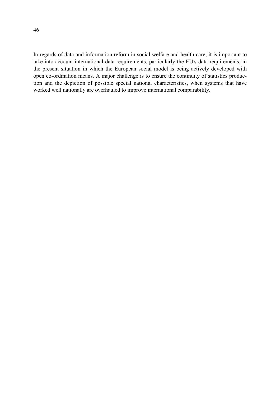46

In regards of data and information reform in social welfare and health care, it is important to take into account international data requirements, particularly the EU's data requirements, in the present situation in which the European social model is being actively developed with open co-ordination means. A major challenge is to ensure the continuity of statistics production and the depiction of possible special national characteristics, when systems that have worked well nationally are overhauled to improve international comparability.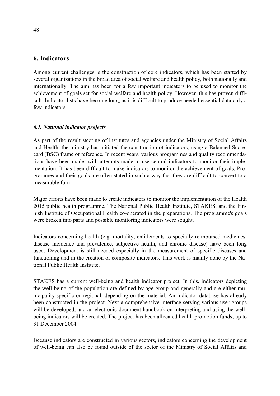## **6. Indicators**

Among current challenges is the construction of core indicators, which has been started by several organizations in the broad area of social welfare and health policy, both nationally and internationally. The aim has been for a few important indicators to be used to monitor the achievement of goals set for social welfare and health policy. However, this has proven difficult. Indicator lists have become long, as it is difficult to produce needed essential data only a few indicators.

## *6.1. National indicator projects*

As part of the result steering of institutes and agencies under the Ministry of Social Affairs and Health, the ministry has initiated the construction of indicators, using a Balanced Scorecard (BSC) frame of reference. In recent years, various programmes and quality recommendations have been made, with attempts made to use central indicators to monitor their implementation. It has been difficult to make indicators to monitor the achievement of goals. Programmes and their goals are often stated in such a way that they are difficult to convert to a measurable form.

Major efforts have been made to create indicators to monitor the implementation of the Health 2015 public health programme. The National Public Health Institute, STAKES, and the Finnish Institute of Occupational Health co-operated in the preparations. The programme's goals were broken into parts and possible monitoring indicators were sought.

Indicators concerning health (e.g. mortality, entitlements to specially reimbursed medicines, disease incidence and prevalence, subjective health, and chronic disease) have been long used. Development is still needed especially in the measurement of specific diseases and functioning and in the creation of composite indicators. This work is mainly done by the National Public Health Institute.

STAKES has a current well-being and health indicator project. In this, indicators depicting the well-being of the population are defined by age group and generally and are either municipality-specific or regional, depending on the material. An indicator database has already been constructed in the project. Next a comprehensive interface serving various user groups will be developed, and an electronic-document handbook on interpreting and using the wellbeing indicators will be created. The project has been allocated health-promotion funds, up to 31 December 2004.

Because indicators are constructed in various sectors, indicators concerning the development of well-being can also be found outside of the sector of the Ministry of Social Affairs and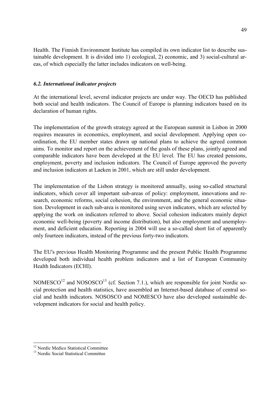Health. The Finnish Environment Institute has compiled its own indicator list to describe sustainable development. It is divided into 1) ecological, 2) economic, and 3) social-cultural areas, of which especially the latter includes indicators on well-being.

## *6.2. International indicator projects*

At the international level, several indicator projects are under way. The OECD has published both social and health indicators. The Council of Europe is planning indicators based on its declaration of human rights.

The implementation of the growth strategy agreed at the European summit in Lisbon in 2000 requires measures in economics, employment, and social development. Applying open coordination, the EU member states drawn up national plans to achieve the agreed common aims. To monitor and report on the achievement of the goals of these plans, jointly agreed and comparable indicators have been developed at the EU level. The EU has created pensions, employment, poverty and inclusion indicators. The Council of Europe approved the poverty and inclusion indicators at Laeken in 2001, which are still under development.

The implementation of the Lisbon strategy is monitored annually, using so-called structural indicators, which cover all important sub-areas of policy: employment, innovations and research, economic reforms, social cohesion, the environment, and the general economic situation. Development in each sub-area is monitored using seven indicators, which are selected by applying the work on indicators referred to above. Social cohesion indicators mainly depict economic well-being (poverty and income distribution), but also employment and unemployment, and deficient education. Reporting in 2004 will use a so-called short list of apparently only fourteen indicators, instead of the previous forty-two indicators.

The EU's previous Health Monitoring Programme and the present Public Health Programme developed both individual health problem indicators and a list of European Community Health Indicators (ECHI).

NOMESCO<sup>12</sup> and NOSOSCO<sup>13</sup> (cf. Section 7.1.), which are responsible for joint Nordic social protection and health statistics, have assembled an Internet-based database of central social and health indicators. NOSOSCO and NOMESCO have also developed sustainable development indicators for social and health policy.

 $\overline{a}$ 

<sup>&</sup>lt;sup>12</sup> Nordic Medico Statistical Committee

<sup>&</sup>lt;sup>13</sup> Nordic Social Statistical Committee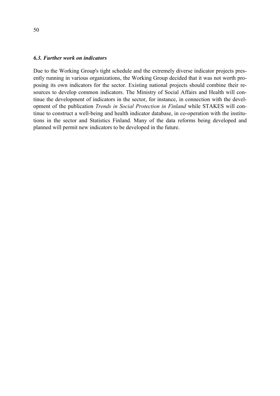#### *6.3. Further work on indicators*

Due to the Working Group's tight schedule and the extremely diverse indicator projects presently running in various organizations, the Working Group decided that it was not worth proposing its own indicators for the sector. Existing national projects should combine their resources to develop common indicators. The Ministry of Social Affairs and Health will continue the development of indicators in the sector, for instance, in connection with the development of the publication *Trends in Social Protection in Finland* while STAKES will continue to construct a well-being and health indicator database, in co-operation with the institutions in the sector and Statistics Finland. Many of the data reforms being developed and planned will permit new indicators to be developed in the future.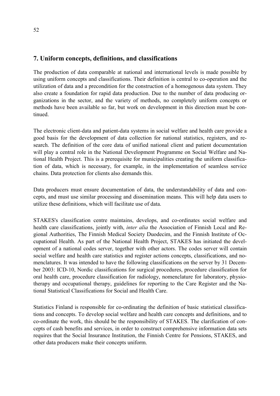## **7. Uniform concepts, definitions, and classifications**

The production of data comparable at national and international levels is made possible by using uniform concepts and classifications. Their definition is central to co-operation and the utilization of data and a precondition for the construction of a homogenous data system. They also create a foundation for rapid data production. Due to the number of data producing organizations in the sector, and the variety of methods, no completely uniform concepts or methods have been available so far, but work on development in this direction must be continued.

The electronic client-data and patient-data systems in social welfare and health care provide a good basis for the development of data collection for national statistics, registers, and research. The definition of the core data of unified national client and patient documentation will play a central role in the National Development Programme on Social Welfare and National Health Project. This is a prerequisite for municipalities creating the uniform classification of data, which is necessary, for example, in the implementation of seamless service chains. Data protection for clients also demands this.

Data producers must ensure documentation of data, the understandability of data and concepts, and must use similar processing and dissemination means. This will help data users to utilize these definitions, which will facilitate use of data.

STAKES's classification centre maintains, develops, and co-ordinates social welfare and health care classifications, jointly with, *inter alia* the Association of Finnish Local and Regional Authorities, The Finnish Medical Society Duodecim, and the Finnish Institute of Occupational Health. As part of the National Health Project, STAKES has initiated the development of a national codes server, together with other actors. The codes server will contain social welfare and health care statistics and register actions concepts, classifications, and nomenclatures. It was intended to have the following classifications on the server by 31 December 2003: ICD-10, Nordic classifications for surgical procedures, procedure classification for oral health care, procedure classification for radiology, nomenclature for laboratory, physiotherapy and occupational therapy, guidelines for reporting to the Care Register and the National Statistical Classifications for Social and Health Care.

Statistics Finland is responsible for co-ordinating the definition of basic statistical classifications and concepts. To develop social welfare and health care concepts and definitions, and to co-ordinate the work, this should be the responsibility of STAKES. The clarification of concepts of cash benefits and services, in order to construct comprehensive information data sets requires that the Social Insurance Institution, the Finnish Centre for Pensions, STAKES, and other data producers make their concepts uniform.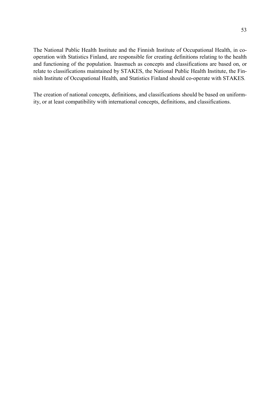The National Public Health Institute and the Finnish Institute of Occupational Health, in cooperation with Statistics Finland, are responsible for creating definitions relating to the health and functioning of the population. Inasmuch as concepts and classifications are based on, or relate to classifications maintained by STAKES, the National Public Health Institute, the Finnish Institute of Occupational Health, and Statistics Finland should co-operate with STAKES*.* 

The creation of national concepts, definitions, and classifications should be based on uniformity, or at least compatibility with international concepts, definitions, and classifications.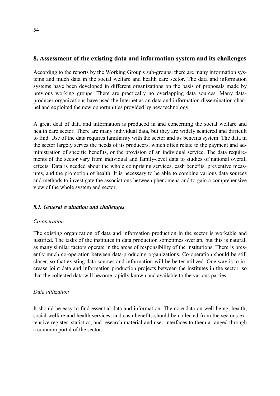## **8. Assessment of the existing data and information system and its challenges**

According to the reports by the Working Group's sub-groups, there are many information systems and much data in the social welfare and health care sector. The data and information systems have been developed in different organizations on the basis of proposals made by previous working groups. There are practically no overlapping data sources. Many dataproducer organizations have used the Internet as an data and information dissemination channel and exploited the new opportunities provided by new technology.

A great deal of data and information is produced in and concerning the social welfare and health care sector. There are many individual data, but they are widely scattered and difficult to find. Use of the data requires familiarity with the sector and its benefits system. The data in the sector largely serves the needs of its producers, which often relate to the payment and administration of specific benefits, or the provision of an individual service. The data requirements of the sector vary from individual and family-level data to studies of national overall effects. Data is needed about the whole comprising services, cash benefits, preventive measures, and the promotion of health. It is necessary to be able to combine various data sources and methods to investigate the associations between phenomena and to gain a comprehensive view of the whole system and sector.

## *8.1. General evaluation and challenges*

#### *Co-operation*

The existing organization of data and information production in the sector is workable and justified. The tasks of the institutes in data production sometimes overlap, but this is natural, as many similar factors operate in the areas of responsibility of the institutions. There is presently much co-operation between data-producing organizations. Co-operation should be still closer, so that existing data sources and information will be better utilized. One way is to increase joint data and information production projects between the institutes in the sector, so that the collected data will become rapidly known and available to the various parties.

#### *Data utilization*

It should be easy to find essential data and information. The core data on well-being, health, social welfare and health services, and cash benefits should be collected from the sector's extensive register, statistics, and research material and user-interfaces to them arranged through a common portal of the sector.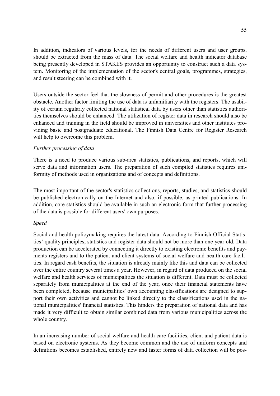In addition, indicators of various levels, for the needs of different users and user groups, should be extracted from the mass of data. The social welfare and health indicator database being presently developed in STAKES provides an opportunity to construct such a data system. Monitoring of the implementation of the sector's central goals, programmes, strategies, and result steering can be combined with it.

Users outside the sector feel that the slowness of permit and other procedures is the greatest obstacle. Another factor limiting the use of data is unfamiliarity with the registers. The usability of certain regularly collected national statistical data by users other than statistics authorities themselves should be enhanced. The utilization of register data in research should also be enhanced and training in the field should be improved in universities and other institutes providing basic and postgraduate educational. The Finnish Data Centre for Register Research will help to overcome this problem.

#### *Further processing of data*

There is a need to produce various sub-area statistics, publications, and reports, which will serve data and information users. The preparation of such compiled statistics requires uniformity of methods used in organizations and of concepts and definitions.

The most important of the sector's statistics collections, reports, studies, and statistics should be published electronically on the Internet and also, if possible, as printed publications. In addition, core statistics should be available in such an electronic form that further processing of the data is possible for different users' own purposes.

#### *Speed*

Social and health policymaking requires the latest data. According to Finnish Official Statistics' quality principles, statistics and register data should not be more than one year old. Data production can be accelerated by connecting it directly to existing electronic benefits and payments registers and to the patient and client systems of social welfare and health care facilities. In regard cash benefits, the situation is already mainly like this and data can be collected over the entire country several times a year. However, in regard of data produced on the social welfare and health services of municipalities the situation is different. Data must be collected separately from municipalities at the end of the year, once their financial statements have been completed, because municipalities' own accounting classifications are designed to support their own activities and cannot be linked directly to the classifications used in the national municipalities' financial statistics. This hinders the preparation of national data and has made it very difficult to obtain similar combined data from various municipalities across the whole country.

In an increasing number of social welfare and health care facilities, client and patient data is based on electronic systems. As they become common and the use of uniform concepts and definitions becomes established, entirely new and faster forms of data collection will be pos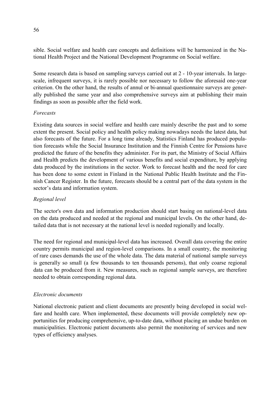sible. Social welfare and health care concepts and definitions will be harmonized in the National Health Project and the National Development Programme on Social welfare.

Some research data is based on sampling surveys carried out at 2 - 10-year intervals. In largescale, infrequent surveys, it is rarely possible nor necessary to follow the aforesaid one-year criterion. On the other hand, the results of annul or bi-annual questionnaire surveys are generally published the same year and also comprehensive surveys aim at publishing their main findings as soon as possible after the field work.

#### *Forecasts*

Existing data sources in social welfare and health care mainly describe the past and to some extent the present. Social policy and health policy making nowadays needs the latest data, but also forecasts of the future. For a long time already, Statistics Finland has produced population forecasts while the Social Insurance Institution and the Finnish Centre for Pensions have predicted the future of the benefits they administer. For its part, the Ministry of Social Affairs and Health predicts the development of various benefits and social expenditure, by applying data produced by the institutions in the sector. Work to forecast health and the need for care has been done to some extent in Finland in the National Public Health Institute and the Finnish Cancer Register. In the future, forecasts should be a central part of the data system in the sector's data and information system.

## *Regional level*

The sector's own data and information production should start basing on national-level data on the data produced and needed at the regional and municipal levels. On the other hand, detailed data that is not necessary at the national level is needed regionally and locally.

The need for regional and municipal-level data has increased. Overall data covering the entire country permits municipal and region-level comparisons. In a small country, the monitoring of rare cases demands the use of the whole data. The data material of national sample surveys is generally so small (a few thousands to ten thousands persons), that only coarse regional data can be produced from it. New measures, such as regional sample surveys, are therefore needed to obtain corresponding regional data.

## *Electronic documents*

National electronic patient and client documents are presently being developed in social welfare and health care. When implemented, these documents will provide completely new opportunities for producing comprehensive, up-to-date data, without placing an undue burden on municipalities. Electronic patient documents also permit the monitoring of services and new types of efficiency analyses.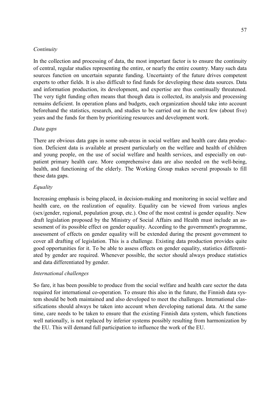#### *Continuity*

In the collection and processing of data, the most important factor is to ensure the continuity of central, regular studies representing the entire, or nearly the entire country. Many such data sources function on uncertain separate funding. Uncertainty of the future drives competent experts to other fields. It is also difficult to find funds for developing these data sources. Data and information production, its development, and expertise are thus continually threatened. The very tight funding often means that though data is collected, its analysis and processing remains deficient. In operation plans and budgets, each organization should take into account beforehand the statistics, research, and studies to be carried out in the next few (about five) years and the funds for them by prioritizing resources and development work.

#### *Data gaps*

There are obvious data gaps in some sub-areas in social welfare and health care data production. Deficient data is available at present particularly on the welfare and health of children and young people, on the use of social welfare and health services, and especially on outpatient primary health care. More comprehensive data are also needed on the well-being, health, and functioning of the elderly. The Working Group makes several proposals to fill these data gaps.

#### *Equality*

Increasing emphasis is being placed, in decision-making and monitoring in social welfare and health care, on the realization of equality. Equality can be viewed from various angles (sex/gender, regional, population group, etc.). One of the most central is gender equality. New draft legislation proposed by the Ministry of Social Affairs and Health must include an assessment of its possible effect on gender equality. According to the government's programme, assessment of effects on gender equality will be extended during the present government to cover all drafting of legislation. This is a challenge. Existing data production provides quite good opportunities for it. To be able to assess effects on gender equality, statistics differentiated by gender are required. Whenever possible, the sector should always produce statistics and data differentiated by gender.

#### *International challenges*

So fare, it has been possible to produce from the social welfare and health care sector the data required for international co-operation. To ensure this also in the future, the Finnish data system should be both maintained and also developed to meet the challenges. International classifications should always be taken into account when developing national data. At the same time, care needs to be taken to ensure that the existing Finnish data system, which functions well nationally, is not replaced by inferior systems possibly resulting from harmonization by the EU. This will demand full participation to influence the work of the EU.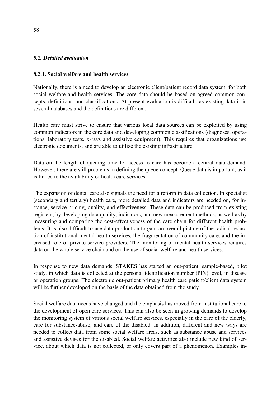#### *8.2. Detailed evaluation*

#### **8.2.1. Social welfare and health services**

Nationally, there is a need to develop an electronic client/patient record data system, for both social welfare and health services. The core data should be based on agreed common concepts, definitions, and classifications. At present evaluation is difficult, as existing data is in several databases and the definitions are different.

Health care must strive to ensure that various local data sources can be exploited by using common indicators in the core data and developing common classifications (diagnoses, operations, laboratory tests, x-rays and assistive equipment). This requires that organizations use electronic documents, and are able to utilize the existing infrastructure.

Data on the length of queuing time for access to care has become a central data demand. However, there are still problems in defining the queue concept. Queue data is important, as it is linked to the availability of health care services.

The expansion of dental care also signals the need for a reform in data collection. In specialist (secondary and tertiary) health care, more detailed data and indicators are needed on, for instance, service pricing, quality, and effectiveness. These data can be produced from existing registers, by developing data quality, indicators, and new measurement methods, as well as by measuring and comparing the cost-effectiveness of the care chain for different health problems. It is also difficult to use data production to gain an overall picture of the radical reduction of institutional mental-health services, the fragmentation of community care, and the increased role of private service providers. The monitoring of mental-health services requires data on the whole service chain and on the use of social welfare and health services.

In response to new data demands, STAKES has started an out-patient, sample-based, pilot study, in which data is collected at the personal identification number (PIN) level, in disease or operation groups. The electronic out-patient primary health care patient/client data system will be further developed on the basis of the data obtained from the study.

Social welfare data needs have changed and the emphasis has moved from institutional care to the development of open care services. This can also be seen in growing demands to develop the monitoring system of various social welfare services, especially in the care of the elderly, care for substance-abuse, and care of the disabled. In addition, different and new ways are needed to collect data from some social welfare areas, such as substance abuse and services and assistive devises for the disabled. Social welfare activities also include new kind of service, about which data is not collected, or only covers part of a phenomenon. Examples in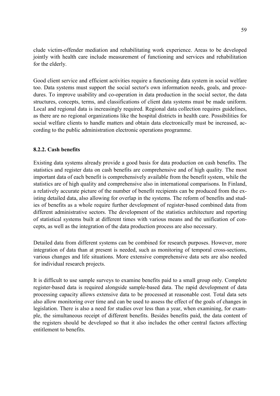clude victim-offender mediation and rehabilitating work experience. Areas to be developed jointly with health care include measurement of functioning and services and rehabilitation for the elderly.

Good client service and efficient activities require a functioning data system in social welfare too. Data systems must support the social sector's own information needs, goals, and procedures. To improve usability and co-operation in data production in the social sector, the data structures, concepts, terms, and classifications of client data systems must be made uniform. Local and regional data is increasingly required. Regional data collection requires guidelines, as there are no regional organizations like the hospital districts in health care. Possibilities for social welfare clients to handle matters and obtain data electronically must be increased, according to the public administration electronic operations programme.

## **8.2.2. Cash benefits**

Existing data systems already provide a good basis for data production on cash benefits. The statistics and register data on cash benefits are comprehensive and of high quality. The most important data of each benefit is comprehensively available from the benefit system, while the statistics are of high quality and comprehensive also in international comparisons. In Finland, a relatively accurate picture of the number of benefit recipients can be produced from the existing detailed data, also allowing for overlap in the systems. The reform of benefits and studies of benefits as a whole require further development of register-based combined data from different administrative sectors. The development of the statistics architecture and reporting of statistical systems built at different times with various means and the unification of concepts, as well as the integration of the data production process are also necessary.

Detailed data from different systems can be combined for research purposes. However, more integration of data than at present is needed, such as monitoring of temporal cross-sections, various changes and life situations. More extensive comprehensive data sets are also needed for individual research projects.

It is difficult to use sample surveys to examine benefits paid to a small group only. Complete register-based data is required alongside sample-based data. The rapid development of data processing capacity allows extensive data to be processed at reasonable cost. Total data sets also allow monitoring over time and can be used to assess the effect of the goals of changes in legislation. There is also a need for studies over less than a year, when examining, for example, the simultaneous receipt of different benefits. Besides benefits paid, the data content of the registers should be developed so that it also includes the other central factors affecting entitlement to benefits.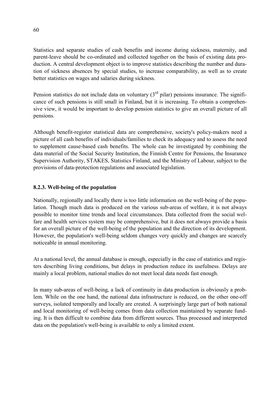Statistics and separate studies of cash benefits and income during sickness, maternity, and parent-leave should be co-ordinated and collected together on the basis of existing data production. A central development object is to improve statistics describing the number and duration of sickness absences by special studies, to increase comparability, as well as to create better statistics on wages and salaries during sickness.

Pension statistics do not include data on voluntary  $(3<sup>rd</sup>$  pilar) pensions insurance. The significance of such pensions is still small in Finland, but it is increasing. To obtain a comprehensive view, it would be important to develop pension statistics to give an overall picture of all pensions.

Although benefit-register statistical data are comprehensive, society's policy-makers need a picture of all cash benefits of individuals/families to check its adequacy and to assess the need to supplement cause-based cash benefits. The whole can be investigated by combining the data material of the Social Security Institution, the Finnish Centre for Pensions, the Insurance Supervision Authority, STAKES, Statistics Finland, and the Ministry of Labour, subject to the provisions of data-protection regulations and associated legislation.

## **8.2.3. Well-being of the population**

Nationally, regionally and locally there is too little information on the well-being of the population. Though much data is produced on the various sub-areas of welfare, it is not always possible to monitor time trends and local circumstances. Data collected from the social welfare and health services system may be comprehensive, but it does not always provide a basis for an overall picture of the well-being of the population and the direction of its development. However, the population's well-being seldom changes very quickly and changes are scarcely noticeable in annual monitoring.

At a national level, the annual database is enough, especially in the case of statistics and registers describing living conditions, but delays in production reduce its usefulness. Delays are mainly a local problem, national studies do not meet local data needs fast enough.

In many sub-areas of well-being, a lack of continuity in data production is obviously a problem. While on the one hand, the national data infrastructure is reduced, on the other one-off surveys, isolated temporally and locally are created. A surprisingly large part of both national and local monitoring of well-being comes from data collection maintained by separate funding. It is then difficult to combine data from different sources. Thus processed and interpreted data on the population's well-being is available to only a limited extent.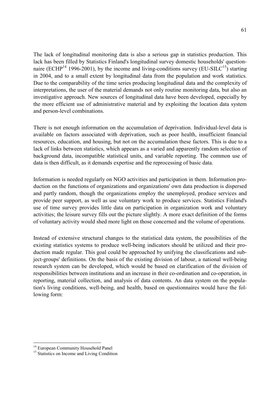The lack of longitudinal monitoring data is also a serious gap in statistics production. This lack has been filled by Statistics Finland's longitudinal survey domestic households' questionnaire (ECHP<sup>14</sup> 1996-2001), by the income and living-conditions survey (EU-SILC<sup>15</sup>) starting in 2004, and to a small extent by longitudinal data from the population and work statistics. Due to the comparability of the time series producing longitudinal data and the complexity of interpretations, the user of the material demands not only routine monitoring data, but also an investigative approach. New sources of longitudinal data have been developed, especially by the more efficient use of administrative material and by exploiting the location data system and person-level combinations.

There is not enough information on the accumulation of deprivation. Individual-level data is available on factors associated with deprivation, such as poor health, insufficient financial resources, education, and housing, but not on the accumulation these factors. This is due to a lack of links between statistics, which appears as a varied and apparently random selection of background data, incompatible statistical units, and variable reporting. The common use of data is then difficult, as it demands expertise and the reprocessing of basic data.

Information is needed regularly on NGO activities and participation in them. Information production on the functions of organizations and organizations' own data production is dispersed and partly random, though the organizations employ the unemployed, produce services and provide peer support, as well as use voluntary work to produce services. Statistics Finland's use of time survey provides little data on participation in organization work and voluntary activities; the leisure survey fills out the picture slightly. A more exact definition of the forms of voluntary activity would shed more light on those concerned and the volume of operations.

Instead of extensive structural changes to the statistical data system, the possibilities of the existing statistics systems to produce well-being indicators should be utilized and their production made regular. This goal could be approached by unifying the classifications and subject-groups' definitions. On the basis of the existing division of labour, a national well-being research system can be developed, which would be based on clarification of the division of responsibilities between institutions and an increase in their co-ordination and co-operation, in reporting, material collection, and analysis of data contents. An data system on the population's living conditions, well-being, and health, based on questionnaires would have the following form:

 $\overline{a}$ 

<sup>&</sup>lt;sup>14</sup> European Community Household Panel

<sup>&</sup>lt;sup>15</sup> Statistics on Income and Living Condition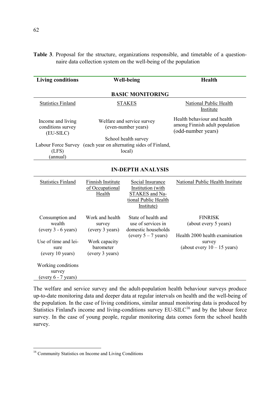|  |  | Table 3. Proposal for the structure, organizations responsible, and timetable of a question- |  |  |  |
|--|--|----------------------------------------------------------------------------------------------|--|--|--|
|  |  | naire data collection system on the well-being of the population                             |  |  |  |

| <b>Living conditions</b>                                                                               |                                                                                                   | <b>Well-being</b>                                                                             | Health                                                                                                               |  |  |  |  |
|--------------------------------------------------------------------------------------------------------|---------------------------------------------------------------------------------------------------|-----------------------------------------------------------------------------------------------|----------------------------------------------------------------------------------------------------------------------|--|--|--|--|
|                                                                                                        |                                                                                                   | <b>BASIC MONITORING</b>                                                                       |                                                                                                                      |  |  |  |  |
| <b>Statistics Finland</b>                                                                              |                                                                                                   | <b>STAKES</b>                                                                                 | National Public Health<br>Institute                                                                                  |  |  |  |  |
| Income and living<br>conditions survey<br>(EU-SILC)                                                    |                                                                                                   | Welfare and service survey<br>(even-number years)                                             | Health behaviour and health<br>among Finnish adult population<br>(odd-number years)                                  |  |  |  |  |
| (LFS)<br>(annual)                                                                                      | School health survey<br>Labour Force Survey (each year on alternating sides of Finland,<br>local) |                                                                                               |                                                                                                                      |  |  |  |  |
| <b>IN-DEPTH ANALYSIS</b>                                                                               |                                                                                                   |                                                                                               |                                                                                                                      |  |  |  |  |
| <b>Statistics Finland</b>                                                                              | <b>Finnish Institute</b><br>of Occupational<br>Health                                             | Social Insurance<br>Institution (with<br>STAKES and Na-<br>tional Public Health<br>Institute) | National Public Health Institute                                                                                     |  |  |  |  |
| Consumption and<br>wealth<br>$(every 3 - 6 years)$<br>Use of time and lei-<br>sure<br>(every 10 years) | Work and health<br>survey<br>(every 3 years)<br>Work capacity<br>barometer<br>(every 3 years)     | State of health and<br>use of services in<br>domestic households<br>(every $5 - 7$ years)     | <b>FINRISK</b><br>(about every 5 years)<br>Health 2000 health examination<br>survey<br>(about every $10 - 15$ years) |  |  |  |  |
| Working conditions<br>survey<br>(every 6 - 7 years)                                                    |                                                                                                   |                                                                                               |                                                                                                                      |  |  |  |  |

The welfare and service survey and the adult-population health behaviour surveys produce up-to-date monitoring data and deeper data at regular intervals on health and the well-being of the population. In the case of living conditions, similar annual monitoring data is produced by Statistics Finland's income and living-conditions survey  $EU-SILC<sup>16</sup>$  and by the labour force survey. In the case of young people, regular monitoring data comes form the school health survey.

 $\overline{a}$ 

<sup>&</sup>lt;sup>16</sup> Community Statistics on Income and Living Conditions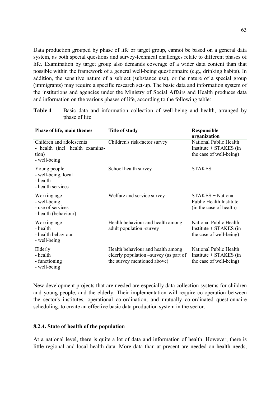Data production grouped by phase of life or target group, cannot be based on a general data system, as both special questions and survey-technical challenges relate to different phases of life. Examination by target group also demands coverage of a wider data content than that possible within the framework of a general well-being questionnaire (e.g., drinking habits). In addition, the sensitive nature of a subject (substance use), or the nature of a special group (immigrants) may require a specific research set-up. The basic data and information system of the institutions and agencies under the Ministry of Social Affairs and Health produces data and information on the various phases of life, according to the following table:

| Phase of life, main themes                                                           | <b>Title of study</b>                                                                                      | <b>Responsible</b><br>organization                                               |
|--------------------------------------------------------------------------------------|------------------------------------------------------------------------------------------------------------|----------------------------------------------------------------------------------|
| Children and adolescents<br>- health (incl. health examina-<br>tion)<br>- well-being | Children's risk-factor survey                                                                              | National Public Health<br>Institute $+$ STAKES (in<br>the case of well-being)    |
| Young people<br>- well-being, local<br>- health<br>- health services                 | School health survey                                                                                       | <b>STAKES</b>                                                                    |
| Working age<br>- well-being<br>- use of services<br>- health (behaviour)             | Welfare and service survey                                                                                 | $STAKES + National$<br><b>Public Health Institute</b><br>(in the case of health) |
| Working age<br>- health<br>- health behaviour<br>- well-being                        | Health behaviour and health among<br>adult population -survey                                              | National Public Health<br>Institute $+$ STAKES (in<br>the case of well-being)    |
| Elderly<br>- health<br>- functioning<br>- well-being                                 | Health behaviour and health among<br>elderly population –survey (as part of<br>the survey mentioned above) | National Public Health<br>Institute $+$ STAKES (in<br>the case of well-being)    |

**Table 4**. Basic data and information collection of well-being and health, arranged by phase of life

New development projects that are needed are especially data collection systems for children and young people, and the elderly. Their implementation will require co-operation between the sector's institutes, operational co-ordination, and mutually co-ordinated questionnaire scheduling, to create an effective basic data production system in the sector.

#### **8.2.4. State of health of the population**

At a national level, there is quite a lot of data and information of health. However, there is little regional and local health data. More data than at present are needed on health needs,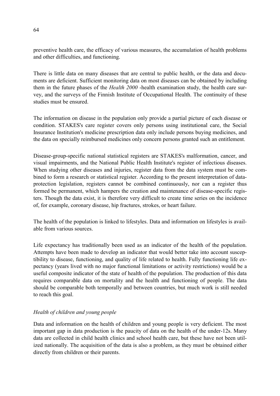preventive health care, the efficacy of various measures, the accumulation of health problems and other difficulties, and functioning.

There is little data on many diseases that are central to public health, or the data and documents are deficient. Sufficient monitoring data on most diseases can be obtained by including them in the future phases of the *Health 2000* -health examination study, the health care survey, and the surveys of the Finnish Institute of Occupational Health. The continuity of these studies must be ensured.

The information on disease in the population only provide a partial picture of each disease or condition. STAKES's care register covers only persons using institutional care, the Social Insurance Institution's medicine prescription data only include persons buying medicines, and the data on specially reimbursed medicines only concern persons granted such an entitlement.

Disease-group-specific national statistical registers are STAKES's malformation, cancer, and visual impairments, and the National Public Health Institute's register of infectious diseases. When studying other diseases and injuries, register data from the data system must be combined to form a research or statistical register. According to the present interpretation of dataprotection legislation, registers cannot be combined continuously, nor can a register thus formed be permanent, which hampers the creation and maintenance of disease-specific registers. Though the data exist, it is therefore very difficult to create time series on the incidence of, for example, coronary disease, hip fractures, strokes, or heart failure.

The health of the population is linked to lifestyles. Data and information on lifestyles is available from various sources.

Life expectancy has traditionally been used as an indicator of the health of the population. Attempts have been made to develop an indicator that would better take into account susceptibility to disease, functioning, and quality of life related to health. Fully functioning life expectancy (years lived with no major functional limitations or activity restrictions) would be a useful composite indicator of the state of health of the population. The production of this data requires comparable data on mortality and the health and functioning of people. The data should be comparable both temporally and between countries, but much work is still needed to reach this goal.

## *Health of children and young people*

Data and information on the health of children and young people is very deficient. The most important gap in data production is the paucity of data on the health of the under-12s. Many data are collected in child health clinics and school health care, but these have not been utilized nationally. The acquisition of the data is also a problem, as they must be obtained either directly from children or their parents.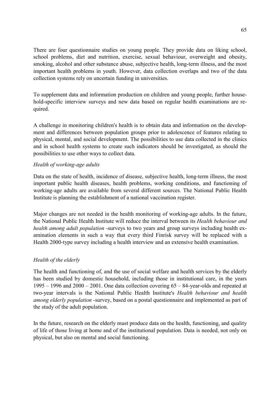There are four questionnaire studies on young people. They provide data on liking school, school problems, diet and nutrition, exercise, sexual behaviour, overweight and obesity, smoking, alcohol and other substance abuse, subjective health, long-term illness, and the most important health problems in youth. However, data collection overlaps and two of the data collection systems rely on uncertain funding in universities.

To supplement data and information production on children and young people, further household-specific interview surveys and new data based on regular health examinations are required.

A challenge in monitoring children's health is to obtain data and information on the development and differences between population groups prior to adolescence of features relating to physical, mental, and social development. The possibilities to use data collected in the clinics and in school health systems to create such indicators should be investigated, as should the possibilities to use other ways to collect data.

## *Health of working-age adults*

Data on the state of health, incidence of disease, subjective health, long-term illness, the most important public health diseases, health problems, working conditions, and functioning of working-age adults are available from several different sources. The National Public Health Institute is planning the establishment of a national vaccination register.

Major changes are not needed in the health monitoring of working-age adults. In the future, the National Public Health Institute will reduce the interval between its *Health behaviour and health among adult population* -surveys to two years and group surveys including health examination elements in such a way that every third Finrisk survey will be replaced with a Health 2000-type survey including a health interview and an extensive health examination.

#### *Health of the elderly*

The health and functioning of, and the use of social welfare and health services by the elderly has been studied by domestic household, including those in institutional care, in the years 1995 – 1996 and 2000 – 2001. One data collection covering 65 – 84-year-olds and repeated at two-year intervals is the National Public Health Institute's *Health behaviour and health among elderly population* -survey, based on a postal questionnaire and implemented as part of the study of the adult population.

In the future, research on the elderly must produce data on the health, functioning, and quality of life of those living at home and of the institutional population. Data is needed, not only on physical, but also on mental and social functioning.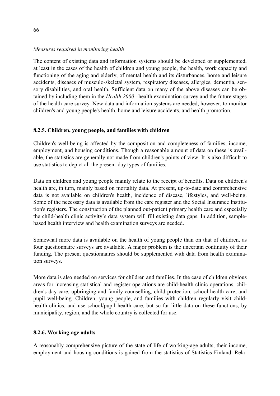#### *Measures required in monitoring health*

The content of existing data and information systems should be developed or supplemented, at least in the cases of the health of children and young people, the health, work capacity and functioning of the aging and elderly, of mental health and its disturbances, home and leisure accidents, diseases of musculo-skeletal system, respiratory diseases, allergies, dementia, sensory disabilities, and oral health. Sufficient data on many of the above diseases can be obtained by including them in the *Health 2000* –health examination survey and the future stages of the health care survey. New data and information systems are needed, however, to monitor children's and young people's health, home and leisure accidents, and health promotion.

## **8.2.5. Children, young people, and families with children**

Children's well-being is affected by the composition and completeness of families, income, employment, and housing conditions. Though a reasonable amount of data on these is available, the statistics are generally not made from children's points of view. It is also difficult to use statistics to depict all the present-day types of families.

Data on children and young people mainly relate to the receipt of benefits. Data on children's health are, in turn, mainly based on mortality data. At present, up-to-date and comprehensive data is not available on children's health, incidence of disease, lifestyles, and well-being. Some of the necessary data is available from the care register and the Social Insurance Institution's registers. The construction of the planned out-patient primary health care and especially the child-health clinic activity's data system will fill existing data gaps. In addition, samplebased health interview and health examination surveys are needed.

Somewhat more data is available on the health of young people than on that of children, as four questionnaire surveys are available. A major problem is the uncertain continuity of their funding. The present questionnaires should be supplemented with data from health examination surveys.

More data is also needed on services for children and families. In the case of children obvious areas for increasing statistical and register operations are child-health clinic operations, children's day-care, upbringing and family counselling, child protection, school health care, and pupil well-being. Children, young people, and families with children regularly visit childhealth clinics, and use school/pupil health care, but so far little data on these functions, by municipality, region, and the whole country is collected for use.

## **8.2.6. Working-age adults**

A reasonably comprehensive picture of the state of life of working-age adults, their income, employment and housing conditions is gained from the statistics of Statistics Finland. Rela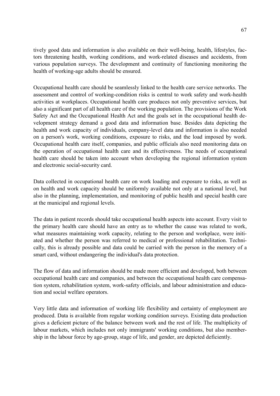tively good data and information is also available on their well-being, health, lifestyles, factors threatening health, working conditions, and work-related diseases and accidents, from various population surveys. The development and continuity of functioning monitoring the health of working-age adults should be ensured.

Occupational health care should be seamlessly linked to the health care service networks. The assessment and control of working-condition risks is central to work safety and work-health activities at workplaces. Occupational health care produces not only preventive services, but also a significant part of all health care of the working population. The provisions of the Work Safety Act and the Occupational Health Act and the goals set in the occupational health development strategy demand a good data and information base. Besides data depicting the health and work capacity of individuals, company-level data and information is also needed on a person's work, working conditions, exposure to risks, and the load imposed by work. Occupational health care itself, companies, and public officials also need monitoring data on the operation of occupational health care and its effectiveness. The needs of occupational health care should be taken into account when developing the regional information system and electronic social-security card.

Data collected in occupational health care on work loading and exposure to risks, as well as on health and work capacity should be uniformly available not only at a national level, but also in the planning, implementation, and monitoring of public health and special health care at the municipal and regional levels.

The data in patient records should take occupational health aspects into account. Every visit to the primary health care should have an entry as to whether the cause was related to work, what measures maintaining work capacity, relating to the person and workplace, were initiated and whether the person was referred to medical or professional rehabilitation. Technically, this is already possible and data could be carried with the person in the memory of a smart card, without endangering the individual's data protection.

The flow of data and information should be made more efficient and developed, both between occupational health care and companies, and between the occupational health care compensation system, rehabilitation system, work-safety officials, and labour administration and education and social welfare operators.

Very little data and information of working life flexibility and certainty of employment are produced. Data is available from regular working condition surveys. Existing data production gives a deficient picture of the balance between work and the rest of life. The multiplicity of labour markets, which includes not only immigrants' working conditions, but also membership in the labour force by age-group, stage of life, and gender, are depicted deficiently.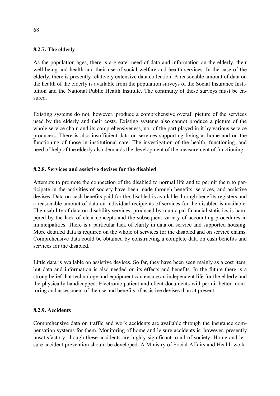#### **8.2.7. The elderly**

As the population ages, there is a greater need of data and information on the elderly, their well-being and health and their use of social welfare and health services. In the case of the elderly, there is presently relatively extensive data collection. A reasonable amount of data on the health of the elderly is available from the population surveys of the Social Insurance Institution and the National Public Health Institute. The continuity of these surveys must be ensured.

Existing systems do not, however, produce a comprehensive overall picture of the services used by the elderly and their costs. Existing systems also cannot produce a picture of the whole service chain and its comprehensiveness, nor of the part played in it by various service producers. There is also insufficient data on services supporting living at home and on the functioning of those in institutional care. The investigation of the health, functioning, and need of help of the elderly also demands the development of the measurement of functioning.

#### **8.2.8. Services and assistive devises for the disabled**

Attempts to promote the connection of the disabled to normal life and to permit them to participate in the activities of society have been made through benefits, services, and assistive devises. Data on cash benefits paid for the disabled is available through benefits registers and a reasonable amount of data on individual recipients of services for the disabled is available. The usability of data on disability services, produced by municipal financial statistics is hampered by the lack of clear concepts and the subsequent variety of accounting procedures in municipalities. There is a particular lack of clarity in data on service and supported housing. More detailed data is required on the whole of services for the disabled and on service chains. Comprehensive data could be obtained by constructing a complete data on cash benefits and services for the disabled.

Little data is available on assistive devises. So far, they have been seen mainly as a cost item, but data and information is also needed on its effects and benefits. In the future there is a strong belief that technology and equipment can ensure an independent life for the elderly and the physically handicapped. Electronic patient and client documents will permit better monitoring and assessment of the use and benefits of assistive devises than at present.

#### **8.2.9. Accidents**

Comprehensive data on traffic and work accidents are available through the insurance compensation systems for them. Monitoring of home and leisure accidents is, however, presently unsatisfactory, though these accidents are highly significant to all of society. Home and leisure accident prevention should be developed. A Ministry of Social Affairs and Health work-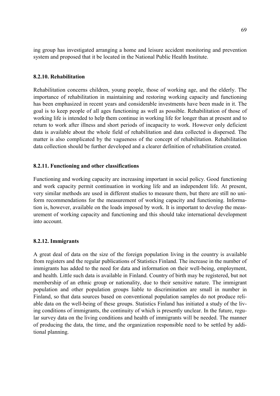ing group has investigated arranging a home and leisure accident monitoring and prevention system and proposed that it be located in the National Public Health Institute.

#### **8.2.10. Rehabilitation**

Rehabilitation concerns children, young people, those of working age, and the elderly. The importance of rehabilitation in maintaining and restoring working capacity and functioning has been emphasized in recent years and considerable investments have been made in it. The goal is to keep people of all ages functioning as well as possible. Rehabilitation of those of working life is intended to help them continue in working life for longer than at present and to return to work after illness and short periods of incapacity to work. However only deficient data is available about the whole field of rehabilitation and data collected is dispersed. The matter is also complicated by the vagueness of the concept of rehabilitation. Rehabilitation data collection should be further developed and a clearer definition of rehabilitation created.

#### **8.2.11. Functioning and other classifications**

Functioning and working capacity are increasing important in social policy. Good functioning and work capacity permit continuation in working life and an independent life. At present, very similar methods are used in different studies to measure them, but there are still no uniform recommendations for the measurement of working capacity and functioning. Information is, however, available on the loads imposed by work. It is important to develop the measurement of working capacity and functioning and this should take international development into account.

#### **8.2.12. Immigrants**

A great deal of data on the size of the foreign population living in the country is available from registers and the regular publications of Statistics Finland. The increase in the number of immigrants has added to the need for data and information on their well-being, employment, and health. Little such data is available in Finland. Country of birth may be registered, but not membership of an ethnic group or nationality, due to their sensitive nature. The immigrant population and other population groups liable to discrimination are small in number in Finland, so that data sources based on conventional population samples do not produce reliable data on the well-being of these groups. Statistics Finland has initiated a study of the living conditions of immigrants, the continuity of which is presently unclear. In the future, regular survey data on the living conditions and health of immigrants will be needed. The manner of producing the data, the time, and the organization responsible need to be settled by additional planning.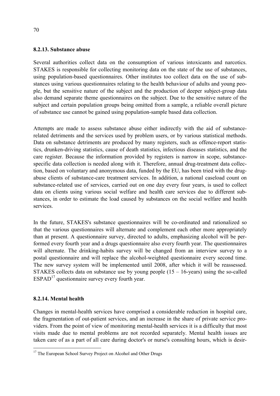#### **8.2.13. Substance abuse**

Several authorities collect data on the consumption of various intoxicants and narcotics. STAKES is responsible for collecting monitoring data on the state of the use of substances, using population-based questionnaires. Other institutes too collect data on the use of substances using various questionnaires relating to the health behaviour of adults and young people, but the sensitive nature of the subject and the production of deeper subject-group data also demand separate theme questionnaires on the subject. Due to the sensitive nature of the subject and certain population groups being omitted from a sample, a reliable overall picture of substance use cannot be gained using population-sample based data collection.

Attempts are made to assess substance abuse either indirectly with the aid of substancerelated detriments and the services used by problem users, or by various statistical methods. Data on substance detriments are produced by many registers, such as offence-report statistics, drunken-driving statistics, cause of death statistics, infectious diseases statistics, and the care register. Because the information provided by registers is narrow in scope, substancespecific data collection is needed along with it. Therefore, annual drug-treatment data collection, based on voluntary and anonymous data, funded by the EU, has been tried with the drugabuse clients of substance-care treatment services. In addition, a national caseload count on substance-related use of services, carried out on one day every four years, is used to collect data on clients using various social welfare and health care services due to different substances, in order to estimate the load caused by substances on the social welfare and health services.

In the future, STAKES's substance questionnaires will be co-ordinated and rationalized so that the various questionnaires will alternate and complement each other more appropriately than at present. A questionnaire survey, directed to adults, emphasizing alcohol will be performed every fourth year and a drugs questionnaire also every fourth year. The questionnaires will alternate. The drinking-habits survey will be changed from an interview survey to a postal questionnaire and will replace the alcohol-weighted questionnaire every second time. The new survey system will be implemented until 2008, after which it will be reassessed. STAKES collects data on substance use by young people  $(15 - 16$ -years) using the so-called  $ESPAD<sup>17</sup>$  questionnaire survey every fourth year.

#### **8.2.14. Mental health**

 $\overline{a}$ 

Changes in mental-health services have comprised a considerable reduction in hospital care, the fragmentation of out-patient services, and an increase in the share of private service providers. From the point of view of monitoring mental-health services it is a difficulty that most visits made due to mental problems are not recorded separately. Mental health issues are taken care of as a part of all care during doctor's or nurse's consulting hours, which is desir-

<sup>&</sup>lt;sup>17</sup> The European School Survey Project on Alcohol and Other Drugs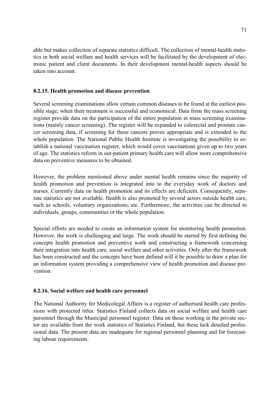able but makes collection of separate statistics difficult. The collection of mental-health statistics in both social welfare and health services will be facilitated by the development of electronic patient and client documents. In their development mental-health aspects should be taken into account.

#### **8.2.15. Health promotion and disease prevention**

Several screening examinations allow certain common diseases to be found at the earliest possible stage, when their treatment is successful and economical. Data from the mass screening register provide data on the participation of the entire population in mass screening examinations (mainly cancer screening). The register will be expanded to colorectal and prostate cancer screening data, if screening for these cancers proves appropriate and is extended to the whole population. The National Public Health Institute is investigating the possibility to establish a national vaccination register, which would cover vaccinations given up to two years of age. The statistics reform in out-patient primary health care will allow more comprehensive data on preventive measures to be obtained.

However, the problem mentioned above under mental health remains since the majority of health promotion and prevention is integrated into to the everyday work of doctors and nurses. Currently data on health promotion and its effects are deficient. Consequently, separate statistics are not available. Health is also promoted by several actors outside health care, such as schools, voluntary organizations, etc. Furthermore, the activities can be directed to individuals, groups, communities or the whole population.

Special efforts are needed to create an information system for monitoring health promotion. However, the work is challenging and large. The work should be started by first defining the concepts health promotion and preventive work and constructing a framework concerning their integration into health care, social welfare and other activities. Only after the framework has been constructed and the concepts have been defined will it be possible to draw a plan for an information system providing a comprehensive view of health promotion and disease prevention.

## **8.2.16. Social welfare and health care personnel**

The National Authority for Medicolegal Affairs is a register of authorised health care professions with protected titles. Statistics Finland collects data on social welfare and health care personnel through the Municipal personnel register. Data on those working in the private sector are available from the work statistics of Statistics Finland, but these lack detailed professional data. The present data are inadequate for regional personnel planning and for forecasting labour requirements.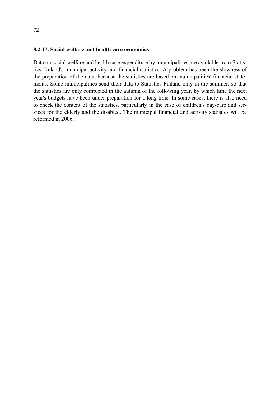#### **8.2.17. Social welfare and health care economics**

Data on social welfare and health care expenditure by municipalities are available from Statistics Finland's municipal activity and financial statistics. A problem has been the slowness of the preparation of the data, because the statistics are based on municipalities' financial statements. Some municipalities send their data to Statistics Finland only in the summer, so that the statistics are only completed in the autumn of the following year, by which time the next year's budgets have been under preparation for a long time. In some cases, there is also need to check the content of the statistics, particularly in the case of children's day-care and services for the elderly and the disabled. The municipal financial and activity statistics will be reformed in 2006.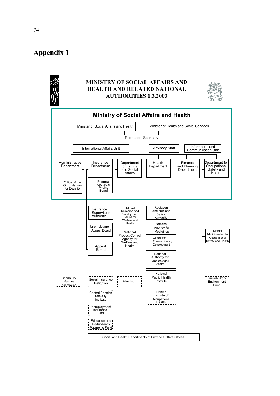# **Appendix 1**

## **MINISTRY OF SOCIAL AFFAIRS AND HEALTH AND RELATED NATIONAL AUTHORITIES 1.3.2003**